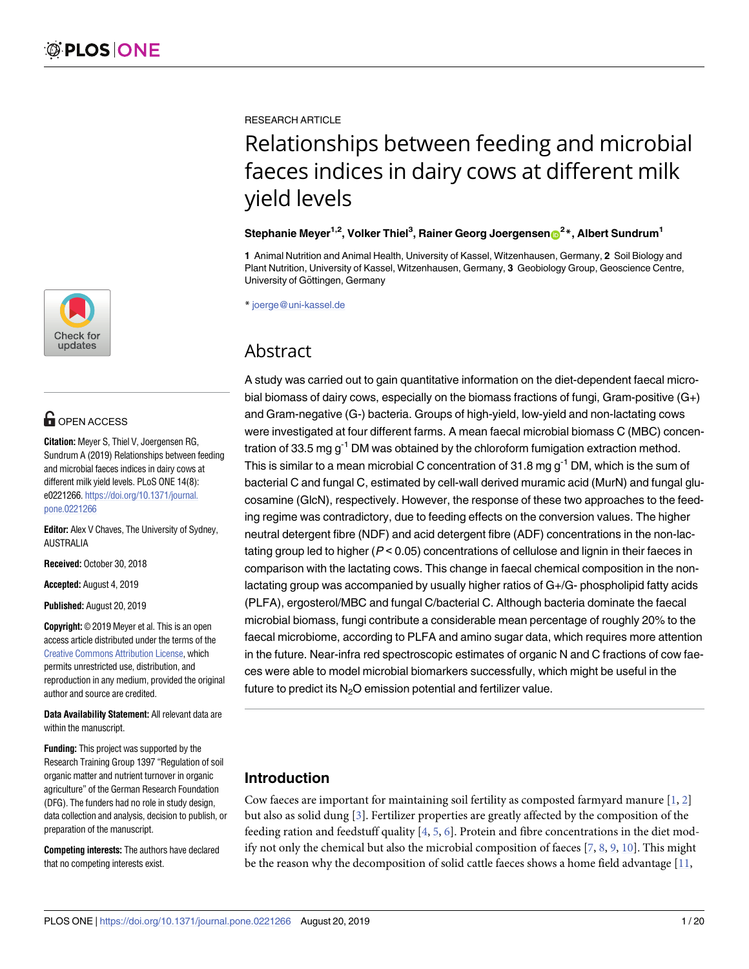

# **O** OPEN ACCESS

**Citation:** Meyer S, Thiel V, Joergensen RG, Sundrum A (2019) Relationships between feeding and microbial faeces indices in dairy cows at different milk yield levels. PLoS ONE 14(8): e0221266. [https://doi.org/10.1371/journal.](https://doi.org/10.1371/journal.pone.0221266) [pone.0221266](https://doi.org/10.1371/journal.pone.0221266)

**Editor:** Alex V Chaves, The University of Sydney, AUSTRALIA

**Received:** October 30, 2018

**Accepted:** August 4, 2019

**Published:** August 20, 2019

**Copyright:** © 2019 Meyer et al. This is an open access article distributed under the terms of the Creative Commons [Attribution](http://creativecommons.org/licenses/by/4.0/) License, which permits unrestricted use, distribution, and reproduction in any medium, provided the original author and source are credited.

**Data Availability Statement:** All relevant data are within the manuscript.

**Funding:** This project was supported by the Research Training Group 1397 "Regulation of soil organic matter and nutrient turnover in organic agriculture" of the German Research Foundation (DFG). The funders had no role in study design, data collection and analysis, decision to publish, or preparation of the manuscript.

**Competing interests:** The authors have declared that no competing interests exist.

<span id="page-0-0"></span>RESEARCH ARTICLE

# Relationships between feeding and microbial faeces indices in dairy cows at different milk yield levels

# ${\sf Step}$ hanie <code>Meyer $^{\text{1,2}},$  Volker Thiel $^{\text{3}},$  Rainer Georg Joergensen $\text{e}^{\text{2}}$ \*, Albert Sundrum $^{\text{1}}$ </code>

**1** Animal Nutrition and Animal Health, University of Kassel, Witzenhausen, Germany, **2** Soil Biology and Plant Nutrition, University of Kassel, Witzenhausen, Germany, **3** Geobiology Group, Geoscience Centre, University of Göttingen, Germany

\* joerge@uni-kassel.de

# Abstract

A study was carried out to gain quantitative information on the diet-dependent faecal microbial biomass of dairy cows, especially on the biomass fractions of fungi, Gram-positive (G+) and Gram-negative (G-) bacteria. Groups of high-yield, low-yield and non-lactating cows were investigated at four different farms. A mean faecal microbial biomass C (MBC) concentration of 33.5 mg  $q^{-1}$  DM was obtained by the chloroform fumigation extraction method. This is similar to a mean microbial C concentration of 31.8 mg  $g^{-1}$  DM, which is the sum of bacterial C and fungal C, estimated by cell-wall derived muramic acid (MurN) and fungal glucosamine (GlcN), respectively. However, the response of these two approaches to the feeding regime was contradictory, due to feeding effects on the conversion values. The higher neutral detergent fibre (NDF) and acid detergent fibre (ADF) concentrations in the non-lactating group led to higher  $(P < 0.05)$  concentrations of cellulose and lignin in their faeces in comparison with the lactating cows. This change in faecal chemical composition in the nonlactating group was accompanied by usually higher ratios of G+/G- phospholipid fatty acids (PLFA), ergosterol/MBC and fungal C/bacterial C. Although bacteria dominate the faecal microbial biomass, fungi contribute a considerable mean percentage of roughly 20% to the faecal microbiome, according to PLFA and amino sugar data, which requires more attention in the future. Near-infra red spectroscopic estimates of organic N and C fractions of cow faeces were able to model microbial biomarkers successfully, which might be useful in the future to predict its  $N<sub>2</sub>O$  emission potential and fertilizer value.

# **Introduction**

Cow faeces are important for maintaining soil fertility as composted farmyard manure [\[1](#page-15-0), [2](#page-15-0)] but also as solid dung [[3\]](#page-15-0). Fertilizer properties are greatly affected by the composition of the feeding ration and feedstuff quality [[4,](#page-15-0) [5,](#page-15-0) [6\]](#page-15-0). Protein and fibre concentrations in the diet modify not only the chemical but also the microbial composition of faeces  $[7, 8, 9, 10]$  $[7, 8, 9, 10]$  $[7, 8, 9, 10]$  $[7, 8, 9, 10]$  $[7, 8, 9, 10]$  $[7, 8, 9, 10]$  $[7, 8, 9, 10]$  $[7, 8, 9, 10]$ . This might be the reason why the decomposition of solid cattle faeces shows a home field advantage [[11](#page-15-0),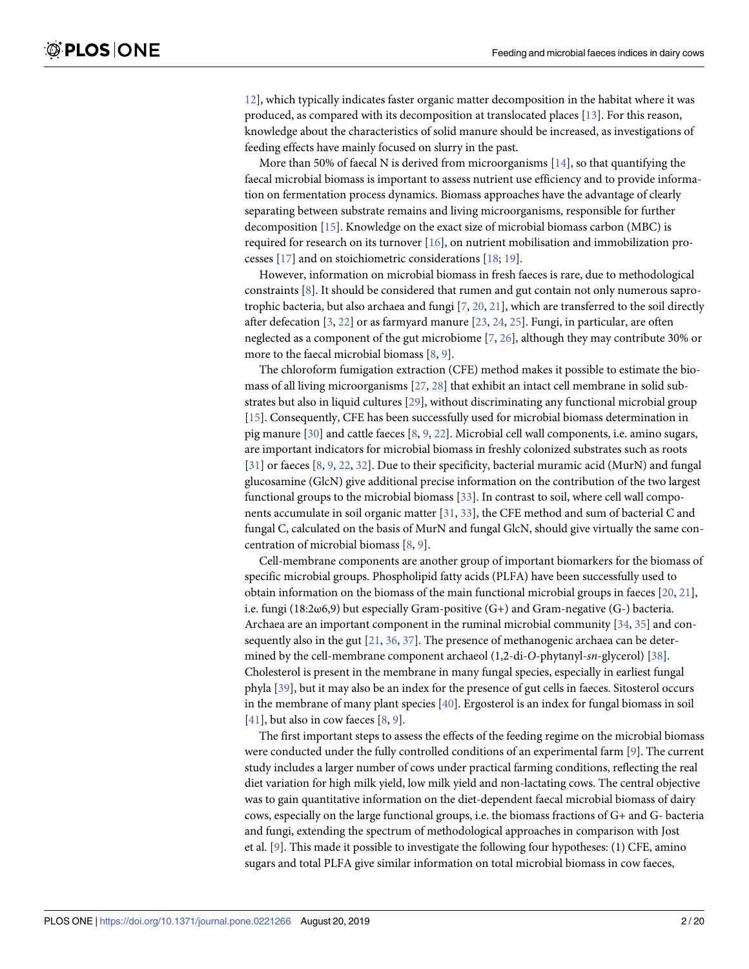<span id="page-1-0"></span>[12\]](#page-15-0), which typically indicates faster organic matter decomposition in the habitat where it was produced, as compared with its decomposition at translocated places [[13](#page-15-0)]. For this reason, knowledge about the characteristics of solid manure should be increased, as investigations of feeding effects have mainly focused on slurry in the past.

More than 50% of faecal N is derived from microorganisms  $[14]$  $[14]$  $[14]$ , so that quantifying the faecal microbial biomass is important to assess nutrient use efficiency and to provide information on fermentation process dynamics. Biomass approaches have the advantage of clearly separating between substrate remains and living microorganisms, responsible for further decomposition [\[15\]](#page-15-0). Knowledge on the exact size of microbial biomass carbon (MBC) is required for research on its turnover [[16](#page-15-0)], on nutrient mobilisation and immobilization processes [\[17\]](#page-15-0) and on stoichiometric considerations [\[18;](#page-15-0) [19\]](#page-15-0).

However, information on microbial biomass in fresh faeces is rare, due to methodological constraints [[8\]](#page-15-0). It should be considered that rumen and gut contain not only numerous saprotrophic bacteria, but also archaea and fungi [\[7,](#page-15-0) [20,](#page-15-0) [21\]](#page-15-0), which are transferred to the soil directly after defecation [\[3](#page-15-0), [22](#page-16-0)] or as farmyard manure [[23](#page-16-0), [24](#page-16-0), [25](#page-16-0)]. Fungi, in particular, are often neglected as a component of the gut microbiome [[7](#page-15-0), [26](#page-16-0)], although they may contribute 30% or more to the faecal microbial biomass [[8,](#page-15-0) [9\]](#page-15-0).

The chloroform fumigation extraction (CFE) method makes it possible to estimate the biomass of all living microorganisms [\[27,](#page-16-0) [28\]](#page-16-0) that exhibit an intact cell membrane in solid substrates but also in liquid cultures [\[29\]](#page-16-0), without discriminating any functional microbial group [\[15\]](#page-15-0). Consequently, CFE has been successfully used for microbial biomass determination in pig manure [[30](#page-16-0)] and cattle faeces [[8](#page-15-0), [9](#page-15-0), [22](#page-16-0)]. Microbial cell wall components, i.e. amino sugars, are important indicators for microbial biomass in freshly colonized substrates such as roots [\[31\]](#page-16-0) or faeces [[8](#page-15-0), [9,](#page-15-0) [22,](#page-16-0) [32\]](#page-16-0). Due to their specificity, bacterial muramic acid (MurN) and fungal glucosamine (GlcN) give additional precise information on the contribution of the two largest functional groups to the microbial biomass [\[33\]](#page-16-0). In contrast to soil, where cell wall components accumulate in soil organic matter [[31](#page-16-0), [33](#page-16-0)], the CFE method and sum of bacterial C and fungal C, calculated on the basis of MurN and fungal GlcN, should give virtually the same concentration of microbial biomass [\[8](#page-15-0), [9](#page-15-0)].

Cell-membrane components are another group of important biomarkers for the biomass of specific microbial groups. Phospholipid fatty acids (PLFA) have been successfully used to obtain information on the biomass of the main functional microbial groups in faeces [\[20,](#page-15-0) [21\]](#page-15-0), i.e. fungi (18:2ω6,9) but especially Gram-positive (G+) and Gram-negative (G-) bacteria. Archaea are an important component in the ruminal microbial community [[34](#page-16-0), [35](#page-16-0)] and consequently also in the gut [\[21,](#page-15-0) [36,](#page-16-0) [37\]](#page-16-0). The presence of methanogenic archaea can be determined by the cell-membrane component archaeol (1,2-di-*O*-phytanyl-*sn*-glycerol) [[38](#page-16-0)]. Cholesterol is present in the membrane in many fungal species, especially in earliest fungal phyla [\[39\]](#page-16-0), but it may also be an index for the presence of gut cells in faeces. Sitosterol occurs in the membrane of many plant species [[40](#page-16-0)]. Ergosterol is an index for fungal biomass in soil [\[41\]](#page-16-0), but also in cow faeces [[8,](#page-15-0) [9\]](#page-15-0).

The first important steps to assess the effects of the feeding regime on the microbial biomass were conducted under the fully controlled conditions of an experimental farm [[9](#page-15-0)]. The current study includes a larger number of cows under practical farming conditions, reflecting the real diet variation for high milk yield, low milk yield and non-lactating cows. The central objective was to gain quantitative information on the diet-dependent faecal microbial biomass of dairy cows, especially on the large functional groups, i.e. the biomass fractions of G+ and G- bacteria and fungi, extending the spectrum of methodological approaches in comparison with Jost et al. [\[9\]](#page-15-0). This made it possible to investigate the following four hypotheses: (1) CFE, amino sugars and total PLFA give similar information on total microbial biomass in cow faeces,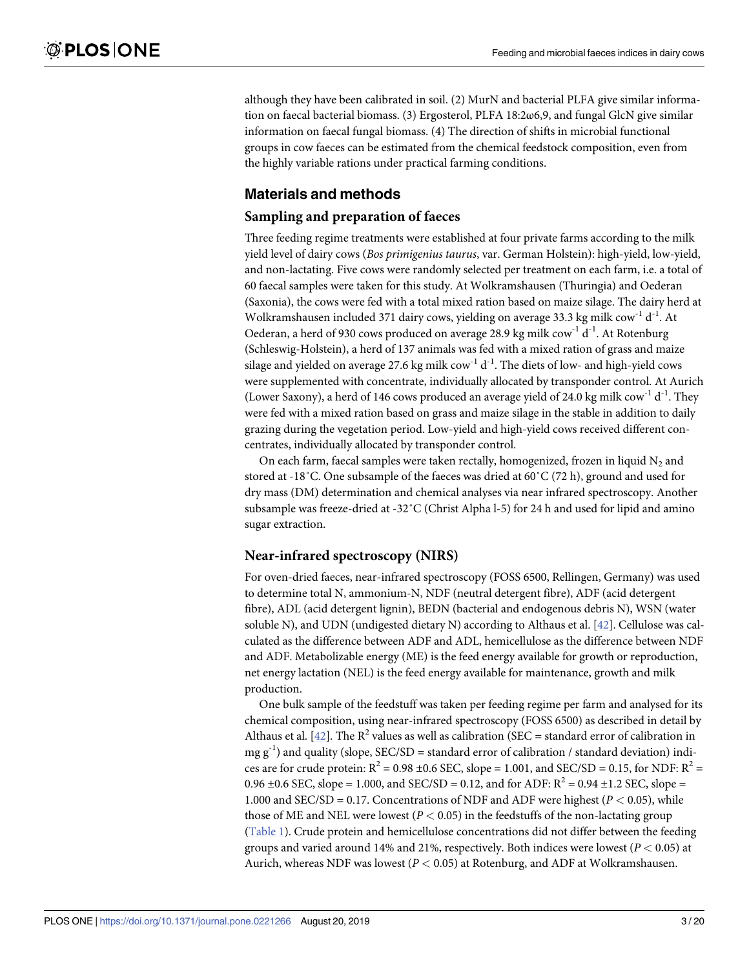<span id="page-2-0"></span>although they have been calibrated in soil. (2) MurN and bacterial PLFA give similar information on faecal bacterial biomass. (3) Ergosterol, PLFA 18:2ω6,9, and fungal GlcN give similar information on faecal fungal biomass. (4) The direction of shifts in microbial functional groups in cow faeces can be estimated from the chemical feedstock composition, even from the highly variable rations under practical farming conditions.

# **Materials and methods**

#### **Sampling and preparation of faeces**

Three feeding regime treatments were established at four private farms according to the milk yield level of dairy cows (*Bos primigenius taurus*, var. German Holstein): high-yield, low-yield, and non-lactating. Five cows were randomly selected per treatment on each farm, i.e. a total of 60 faecal samples were taken for this study. At Wolkramshausen (Thuringia) and Oederan (Saxonia), the cows were fed with a total mixed ration based on maize silage. The dairy herd at Wolkramshausen included 371 dairy cows, yielding on average 33.3 kg milk  $\text{row}^1 \, \text{d}^{-1}$ . At Oederan, a herd of 930 cows produced on average 28.9 kg milk cow<sup>-1</sup> d<sup>-1</sup>. At Rotenburg (Schleswig-Holstein), a herd of 137 animals was fed with a mixed ration of grass and maize silage and yielded on average 27.6 kg milk  $\text{row}^{-1}$  d<sup>-1</sup>. The diets of low- and high-yield cows were supplemented with concentrate, individually allocated by transponder control. At Aurich (Lower Saxony), a herd of 146 cows produced an average yield of 24.0 kg milk  $\text{row}^{-1}$  d<sup>-1</sup>. They were fed with a mixed ration based on grass and maize silage in the stable in addition to daily grazing during the vegetation period. Low-yield and high-yield cows received different concentrates, individually allocated by transponder control.

On each farm, faecal samples were taken rectally, homogenized, frozen in liquid  $N_2$  and stored at -18˚C. One subsample of the faeces was dried at 60˚C (72 h), ground and used for dry mass (DM) determination and chemical analyses via near infrared spectroscopy. Another subsample was freeze-dried at -32˚C (Christ Alpha l-5) for 24 h and used for lipid and amino sugar extraction.

#### **Near-infrared spectroscopy (NIRS)**

For oven-dried faeces, near-infrared spectroscopy (FOSS 6500, Rellingen, Germany) was used to determine total N, ammonium-N, NDF (neutral detergent fibre), ADF (acid detergent fibre), ADL (acid detergent lignin), BEDN (bacterial and endogenous debris N), WSN (water soluble N), and UDN (undigested dietary N) according to Althaus et al. [\[42\]](#page-16-0). Cellulose was calculated as the difference between ADF and ADL, hemicellulose as the difference between NDF and ADF. Metabolizable energy (ME) is the feed energy available for growth or reproduction, net energy lactation (NEL) is the feed energy available for maintenance, growth and milk production.

One bulk sample of the feedstuff was taken per feeding regime per farm and analysed for its chemical composition, using near-infrared spectroscopy (FOSS 6500) as described in detail by Althaus et al. [\[42\]](#page-16-0). The  $R^2$  values as well as calibration (SEC = standard error of calibration in  $mg g^{-1}$ ) and quality (slope, SEC/SD = standard error of calibration / standard deviation) indices are for crude protein:  $R^2 = 0.98 \pm 0.6$  SEC, slope = 1.001, and SEC/SD = 0.15, for NDF:  $R^2$  = 0.96 ±0.6 SEC, slope = 1.000, and SEC/SD = 0.12, and for ADF:  $R^2$  = 0.94 ±1.2 SEC, slope = 1.000 and SEC/SD = 0.17. Concentrations of NDF and ADF were highest (*P <* 0.05), while those of ME and NEL were lowest  $(P < 0.05)$  in the feedstuffs of the non-lactating group [\(Table](#page-3-0) 1). Crude protein and hemicellulose concentrations did not differ between the feeding groups and varied around 14% and 21%, respectively. Both indices were lowest (*P <* 0.05) at Aurich, whereas NDF was lowest (*P <* 0.05) at Rotenburg, and ADF at Wolkramshausen.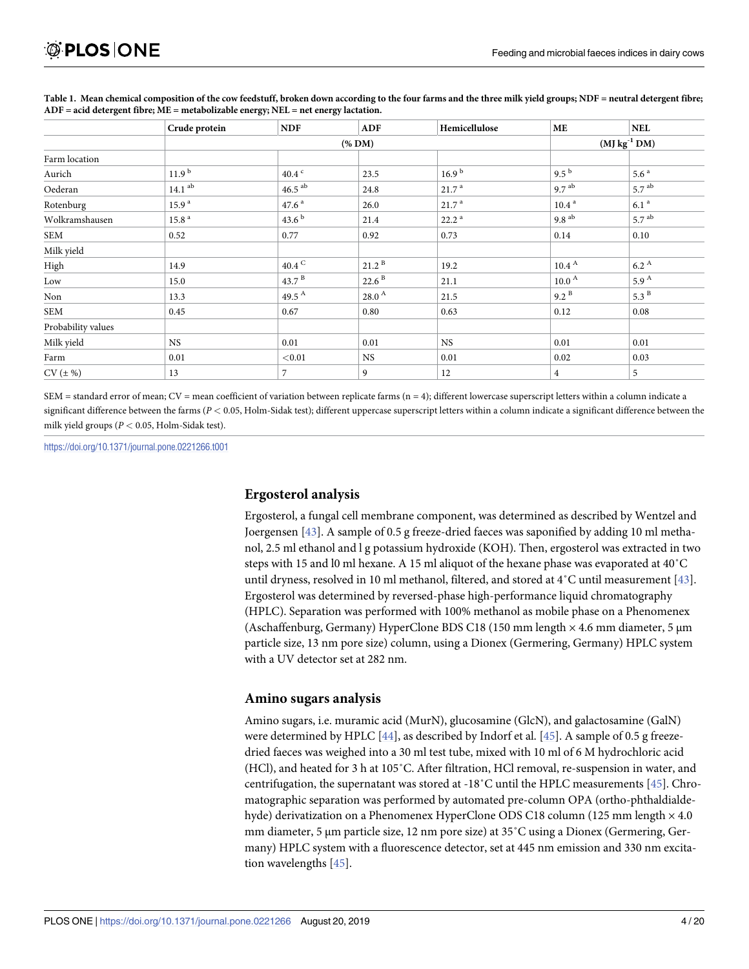|                    | Crude protein        | <b>NDF</b>           | <b>ADF</b>             | Hemicellulose     | ME                  | <b>NEL</b>          |
|--------------------|----------------------|----------------------|------------------------|-------------------|---------------------|---------------------|
|                    |                      |                      | $(MJ kg-1 DM)$         |                   |                     |                     |
| Farm location      |                      |                      |                        |                   |                     |                     |
| Aurich             | 11.9 <sup>b</sup>    | 40.4 $\degree$       | 23.5                   | 16.9 <sup>b</sup> | $9.5^{b}$           | 5.6 <sup>a</sup>    |
| Oederan            | $14.1$ <sup>ab</sup> | $46.5$ <sup>ab</sup> | 24.8                   | 21.7 <sup>a</sup> | 9.7 <sup>ab</sup>   | 5.7 <sup>ab</sup>   |
| Rotenburg          | 15.9 <sup>a</sup>    | 47.6 <sup>a</sup>    | 26.0                   | 21.7 <sup>a</sup> | 10.4 <sup>a</sup>   | 6.1 <sup>a</sup>    |
| Wolkramshausen     | $15.8$ $^{\rm a}$    | 43.6 $^{b}$          | 21.4                   | $22.2$ $^{\rm a}$ | $9.8$ <sup>ab</sup> | $5.7$ <sup>ab</sup> |
| SEM                | 0.52                 | 0.77                 | 0.92                   | 0.73              | 0.14                | 0.10                |
| Milk yield         |                      |                      |                        |                   |                     |                     |
| High               | 14.9                 | $40.4$ $^{\rm C}$    | $21.2$ $^{\rm B}$      | 19.2              | $10.4$ $^{\rm A}$   | $6.2^{\text{A}}$    |
| Low                | 15.0                 | 43.7 <sup>B</sup>    | $22.6$ $^{\mathrm{B}}$ | 21.1              | 10.0 <sup>A</sup>   | 5.9 $^{\rm A}$      |
| Non                | 13.3                 | 49.5 $^{A}$          | $28.0$ $^{\rm A}$      | 21.5              | $9.2^{\text{B}}$    | 5.3 <sup>B</sup>    |
| SEM                | 0.45                 | 0.67                 | 0.80                   | 0.63              | 0.12                | 0.08                |
| Probability values |                      |                      |                        |                   |                     |                     |
| Milk yield         | <b>NS</b>            | 0.01                 | 0.01                   | <b>NS</b>         | 0.01                | 0.01                |
| Farm               | 0.01                 | < 0.01               | <b>NS</b>              | 0.01              | 0.02                | 0.03                |
| CV(± %)            | 13                   | 7                    | 9                      | 12                | $\overline{4}$      | 5                   |

<span id="page-3-0"></span>[Table](#page-2-0) 1. Mean chemical composition of the cow feedstuff, broken down according to the four farms and the three milk yield groups; NDF = neutral detergent fibre; **ADF = acid detergent fibre; ME = metabolizable energy; NEL = net energy lactation.**

SEM = standard error of mean; CV = mean coefficient of variation between replicate farms (n = 4); different lowercase superscript letters within a column indicate a significant difference between the farms ( $P < 0.05$ , Holm-Sidak test); different uppercase superscript letters within a column indicate a significant difference between the milk yield groups (*P <* 0.05, Holm-Sidak test).

<https://doi.org/10.1371/journal.pone.0221266.t001>

# **Ergosterol analysis**

Ergosterol, a fungal cell membrane component, was determined as described by Wentzel and Joergensen [[43](#page-16-0)]. A sample of 0.5 g freeze-dried faeces was saponified by adding 10 ml methanol, 2.5 ml ethanol and l g potassium hydroxide (KOH). Then, ergosterol was extracted in two steps with 15 and l0 ml hexane. A 15 ml aliquot of the hexane phase was evaporated at 40˚C until dryness, resolved in 10 ml methanol, filtered, and stored at 4˚C until measurement [\[43\]](#page-16-0). Ergosterol was determined by reversed-phase high-performance liquid chromatography (HPLC). Separation was performed with 100% methanol as mobile phase on a Phenomenex (Aschaffenburg, Germany) HyperClone BDS C18 (150 mm length × 4.6 mm diameter, 5 μm particle size, 13 nm pore size) column, using a Dionex (Germering, Germany) HPLC system with a UV detector set at 282 nm.

#### **Amino sugars analysis**

Amino sugars, i.e. muramic acid (MurN), glucosamine (GlcN), and galactosamine (GalN) were determined by HPLC [\[44\]](#page-16-0), as described by Indorf et al. [\[45\]](#page-16-0). A sample of 0.5 g freezedried faeces was weighed into a 30 ml test tube, mixed with 10 ml of 6 M hydrochloric acid (HCl), and heated for 3 h at 105˚C. After filtration, HCl removal, re-suspension in water, and centrifugation, the supernatant was stored at -18˚C until the HPLC measurements [\[45\]](#page-16-0). Chromatographic separation was performed by automated pre-column OPA (ortho-phthaldialdehyde) derivatization on a Phenomenex HyperClone ODS C18 column (125 mm length  $\times$  4.0 mm diameter, 5 μm particle size, 12 nm pore size) at 35˚C using a Dionex (Germering, Germany) HPLC system with a fluorescence detector, set at 445 nm emission and 330 nm excitation wavelengths [[45](#page-16-0)].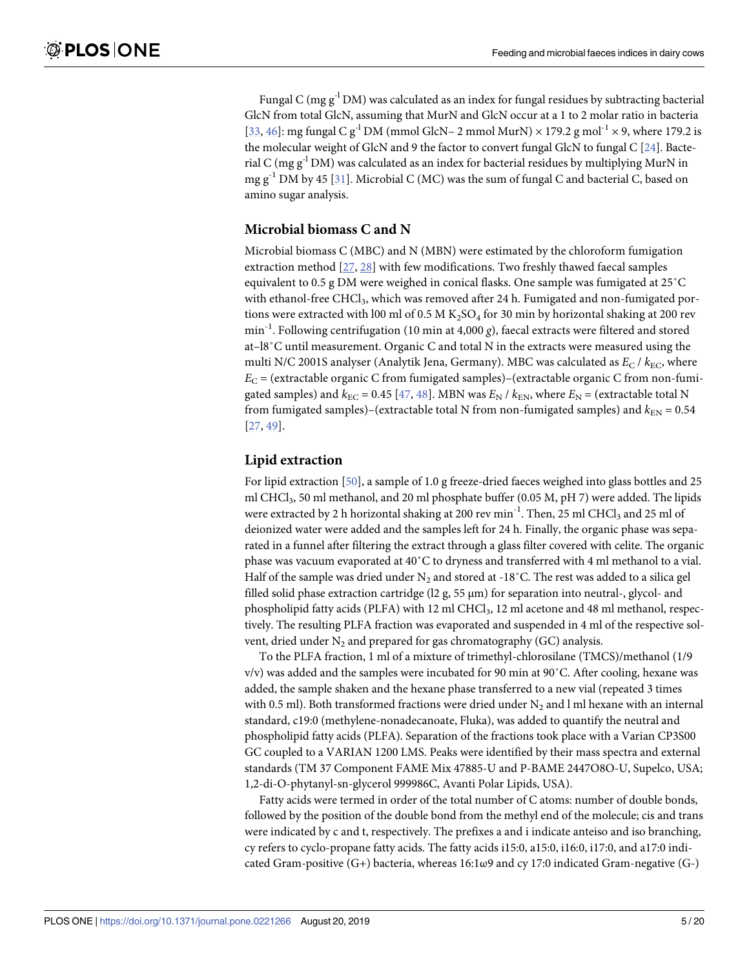<span id="page-4-0"></span>Fungal C (mg  $g^{-1}$  DM) was calculated as an index for fungal residues by subtracting bacterial GlcN from total GlcN, assuming that MurN and GlcN occur at a 1 to 2 molar ratio in bacteria [\[33,](#page-16-0) [46\]](#page-17-0): mg fungal C g<sup>-1</sup> DM (mmol GlcN– 2 mmol MurN)  $\times$  179.2 g mol<sup>-1</sup>  $\times$  9, where 179.2 is the molecular weight of GlcN and 9 the factor to convert fungal GlcN to fungal C [[24](#page-16-0)]. Bacterial C (mg  $g^{-1}$  DM) was calculated as an index for bacterial residues by multiplying MurN in mg  $g^{-1}$  DM by 45 [\[31\]](#page-16-0). Microbial C (MC) was the sum of fungal C and bacterial C, based on amino sugar analysis.

# **Microbial biomass C and N**

Microbial biomass C (MBC) and N (MBN) were estimated by the chloroform fumigation extraction method [\[27](#page-16-0), [28](#page-16-0)] with few modifications. Two freshly thawed faecal samples equivalent to 0.5 g DM were weighed in conical flasks. One sample was fumigated at 25˚C with ethanol-free CHCl<sub>3</sub>, which was removed after 24 h. Fumigated and non-fumigated portions were extracted with l00 ml of 0.5 M  $K_2$ SO<sub>4</sub> for 30 min by horizontal shaking at 200 rev  $min^{-1}$ . Following centrifugation (10 min at 4,000 *g*), faecal extracts were filtered and stored at–l8˚C until measurement. Organic C and total N in the extracts were measured using the multi N/C 2001S analyser (Analytik Jena, Germany). MBC was calculated as  $E_C / k_{\text{EC}}$ , where  $E_C$  = (extractable organic C from fumigated samples)–(extractable organic C from non-fumigated samples) and  $k_{\text{EC}}$  = 0.45 [\[47,](#page-17-0) [48\]](#page-17-0). MBN was  $E_N / k_{\text{EN}}$ , where  $E_N$  = (extractable total N from fumigated samples)–(extractable total N from non-fumigated samples) and  $k_{EN} = 0.54$ [\[27](#page-16-0), [49](#page-17-0)].

# **Lipid extraction**

For lipid extraction [[50](#page-17-0)], a sample of 1.0 g freeze-dried faeces weighed into glass bottles and 25 ml CHCl<sub>3</sub>, 50 ml methanol, and 20 ml phosphate buffer (0.05 M, pH 7) were added. The lipids were extracted by 2 h horizontal shaking at 200 rev min<sup>-1</sup>. Then, 25 ml CHCl<sub>3</sub> and 25 ml of deionized water were added and the samples left for 24 h. Finally, the organic phase was separated in a funnel after filtering the extract through a glass filter covered with celite. The organic phase was vacuum evaporated at 40˚C to dryness and transferred with 4 ml methanol to a vial. Half of the sample was dried under  $N_2$  and stored at -18°C. The rest was added to a silica gel filled solid phase extraction cartridge (l2 g, 55 μm) for separation into neutral-, glycol- and phospholipid fatty acids (PLFA) with 12 ml CHCl3, 12 ml acetone and 48 ml methanol, respectively. The resulting PLFA fraction was evaporated and suspended in 4 ml of the respective solvent, dried under  $N_2$  and prepared for gas chromatography (GC) analysis.

To the PLFA fraction, 1 ml of a mixture of trimethyl-chlorosilane (TMCS)/methanol (1/9 v/v) was added and the samples were incubated for 90 min at 90˚C. After cooling, hexane was added, the sample shaken and the hexane phase transferred to a new vial (repeated 3 times with 0.5 ml). Both transformed fractions were dried under  $N_2$  and l ml hexane with an internal standard, c19:0 (methylene-nonadecanoate, Fluka), was added to quantify the neutral and phospholipid fatty acids (PLFA). Separation of the fractions took place with a Varian CP3S00 GC coupled to a VARIAN 1200 LMS. Peaks were identified by their mass spectra and external standards (TM 37 Component FAME Mix 47885-U and P-BAME 2447O8O-U, Supelco, USA; 1,2-di-O-phytanyl-sn-glycerol 999986C, Avanti Polar Lipids, USA).

Fatty acids were termed in order of the total number of C atoms: number of double bonds, followed by the position of the double bond from the methyl end of the molecule; cis and trans were indicated by c and t, respectively. The prefixes a and i indicate anteiso and iso branching, cy refers to cyclo-propane fatty acids. The fatty acids i15:0, a15:0, i16:0, i17:0, and a17:0 indicated Gram-positive (G+) bacteria, whereas 16:1ω9 and cy 17:0 indicated Gram-negative (G-)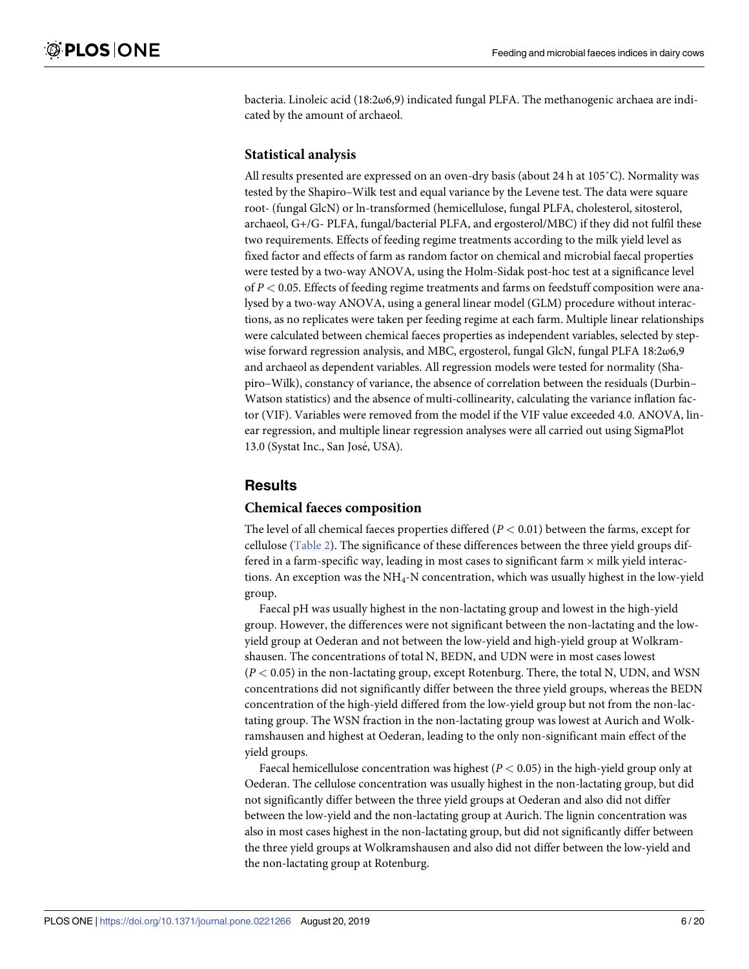<span id="page-5-0"></span>bacteria. Linoleic acid (18:2ω6,9) indicated fungal PLFA. The methanogenic archaea are indicated by the amount of archaeol.

#### **Statistical analysis**

All results presented are expressed on an oven-dry basis (about 24 h at 105˚C). Normality was tested by the Shapiro–Wilk test and equal variance by the Levene test. The data were square root- (fungal GlcN) or ln-transformed (hemicellulose, fungal PLFA, cholesterol, sitosterol, archaeol, G+/G- PLFA, fungal/bacterial PLFA, and ergosterol/MBC) if they did not fulfil these two requirements. Effects of feeding regime treatments according to the milk yield level as fixed factor and effects of farm as random factor on chemical and microbial faecal properties were tested by a two-way ANOVA, using the Holm-Sidak post-hoc test at a significance level of *P <* 0.05. Effects of feeding regime treatments and farms on feedstuff composition were analysed by a two-way ANOVA, using a general linear model (GLM) procedure without interactions, as no replicates were taken per feeding regime at each farm. Multiple linear relationships were calculated between chemical faeces properties as independent variables, selected by stepwise forward regression analysis, and MBC, ergosterol, fungal GlcN, fungal PLFA 18:2ω6,9 and archaeol as dependent variables. All regression models were tested for normality (Shapiro–Wilk), constancy of variance, the absence of correlation between the residuals (Durbin– Watson statistics) and the absence of multi-collinearity, calculating the variance inflation factor (VIF). Variables were removed from the model if the VIF value exceeded 4.0. ANOVA, linear regression, and multiple linear regression analyses were all carried out using SigmaPlot 13.0 (Systat Inc., San José, USA).

#### **Results**

#### **Chemical faeces composition**

The level of all chemical faeces properties differed (*P <* 0.01) between the farms, except for cellulose [\(Table](#page-6-0) 2). The significance of these differences between the three yield groups differed in a farm-specific way, leading in most cases to significant farm  $\times$  milk yield interactions. An exception was the NH4-N concentration, which was usually highest in the low-yield group.

Faecal pH was usually highest in the non-lactating group and lowest in the high-yield group. However, the differences were not significant between the non-lactating and the lowyield group at Oederan and not between the low-yield and high-yield group at Wolkramshausen. The concentrations of total N, BEDN, and UDN were in most cases lowest  $(P < 0.05)$  in the non-lactating group, except Rotenburg. There, the total N, UDN, and WSN concentrations did not significantly differ between the three yield groups, whereas the BEDN concentration of the high-yield differed from the low-yield group but not from the non-lactating group. The WSN fraction in the non-lactating group was lowest at Aurich and Wolkramshausen and highest at Oederan, leading to the only non-significant main effect of the yield groups.

Faecal hemicellulose concentration was highest (*P <* 0.05) in the high-yield group only at Oederan. The cellulose concentration was usually highest in the non-lactating group, but did not significantly differ between the three yield groups at Oederan and also did not differ between the low-yield and the non-lactating group at Aurich. The lignin concentration was also in most cases highest in the non-lactating group, but did not significantly differ between the three yield groups at Wolkramshausen and also did not differ between the low-yield and the non-lactating group at Rotenburg.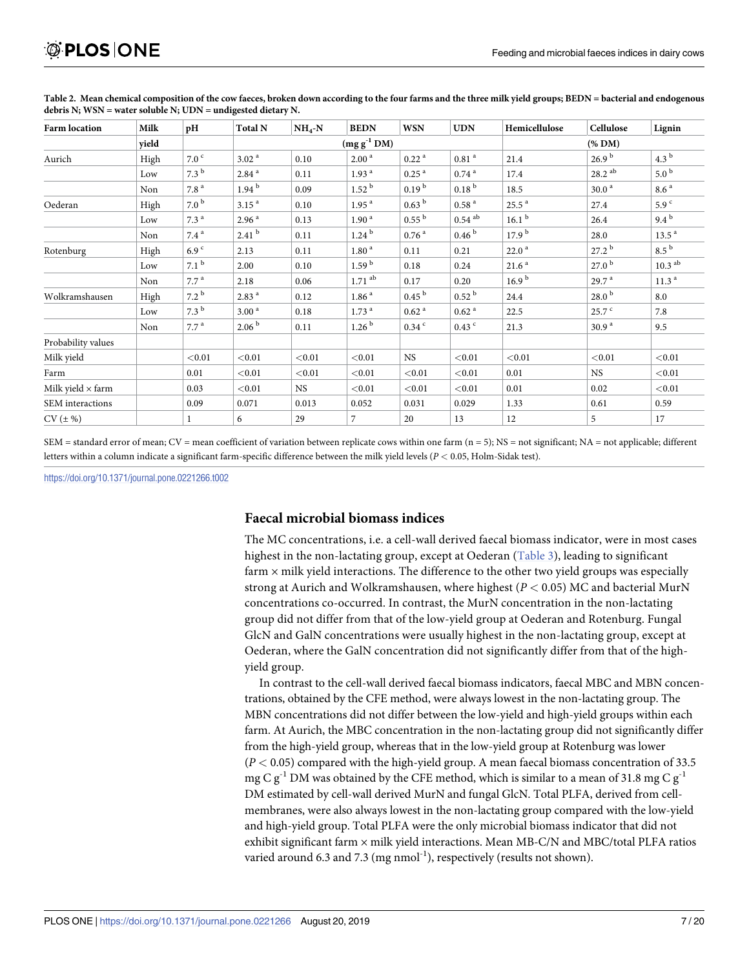| <b>Farm location</b>     | Milk  | pH                 | <b>Total N</b>    | $NH_4-N$         | <b>BEDN</b>         | <b>WSN</b>          | <b>UDN</b>          | Hemicellulose     | Cellulose            | Lignin               |
|--------------------------|-------|--------------------|-------------------|------------------|---------------------|---------------------|---------------------|-------------------|----------------------|----------------------|
|                          | vield |                    |                   | $(mg g^{-1} DM)$ |                     |                     |                     |                   | $(%$ (% DM)          |                      |
| Aurich                   | High  | 7.0 <sup>c</sup>   | 3.02 <sup>a</sup> | 0.10             | $2.00$ $^{\rm a}$   | 0.22 <sup>a</sup>   | $0.81$ <sup>a</sup> | 21.4              | 26.9 <sup>b</sup>    | 4.3 $^{\rm b}$       |
|                          | Low   | $7.3^{\mathrm{b}}$ | 2.84 <sup>a</sup> | 0.11             | 1.93 <sup>a</sup>   | $0.25$ <sup>a</sup> | $0.74$ <sup>a</sup> | 17.4              | $28.2$ <sup>ab</sup> | 5.0 <sup>b</sup>     |
|                          | Non   | 7.8 <sup>a</sup>   | 1.94 <sup>b</sup> | 0.09             | 1.52 <sup>b</sup>   | 0.19 <sup>b</sup>   | 0.18 <sup>b</sup>   | 18.5              | 30.0 <sup>a</sup>    | 8.6 <sup>a</sup>     |
| Oederan                  | High  | 7.0 <sup>b</sup>   | 3.15 <sup>a</sup> | 0.10             | 1.95 <sup>a</sup>   | $0.63^{b}$          | 0.58 <sup>a</sup>   | 25.5 <sup>a</sup> | 27.4                 | 5.9 <sup>c</sup>     |
|                          | Low   | 7.3 <sup>a</sup>   | 2.96 <sup>a</sup> | 0.13             | 1.90 <sup>a</sup>   | $0.55^{\mathrm{b}}$ | $0.54$ $^{\rm ab}$  | $16.1^{b}$        | 26.4                 | $9.4^{b}$            |
|                          | Non   | 7.4 <sup>a</sup>   | 2.41 <sup>b</sup> | 0.11             | 1.24 <sup>b</sup>   | 0.76 <sup>a</sup>   | 0.46 <sup>b</sup>   | 17.9 <sup>b</sup> | 28.0                 | 13.5 <sup>a</sup>    |
| Rotenburg                | High  | 6.9 <sup>c</sup>   | 2.13              | 0.11             | $1.80\,$ $^{\rm a}$ | 0.11                | 0.21                | $22.0$ $^{\rm a}$ | $27.2^{\mathrm{b}}$  | 8.5 <sup>b</sup>     |
|                          | Low   | 7.1 <sup>b</sup>   | 2.00              | 0.10             | 1.59 <sup>b</sup>   | 0.18                | 0.24                | 21.6 <sup>a</sup> | 27.0 <sup>b</sup>    | $10.3$ <sup>ab</sup> |
|                          | Non   | 7.7 <sup>a</sup>   | 2.18              | 0.06             | $1.71$ $^{\rm ab}$  | 0.17                | 0.20                | 16.9 <sup>b</sup> | 29.7 <sup>a</sup>    | 11.3 <sup>a</sup>    |
| Wolkramshausen           | High  | $7.2^{\mathrm{b}}$ | 2.83 <sup>a</sup> | 0.12             | 1.86 <sup>a</sup>   | 0.45 <sup>b</sup>   | 0.52 <sup>b</sup>   | 24.4              | 28.0 <sup>b</sup>    | 8.0                  |
|                          | Low   | $7.3^{\mathrm{b}}$ | 3.00 <sup>a</sup> | 0.18             | 1.73 <sup>a</sup>   | 0.62 <sup>a</sup>   | 0.62 <sup>a</sup>   | 22.5              | 25.7 <sup>c</sup>    | 7.8                  |
|                          | Non   | 7.7 <sup>a</sup>   | 2.06 <sup>b</sup> | 0.11             | 1.26 <sup>b</sup>   | $0.34$ <sup>c</sup> | $0.43$ $\degree$    | 21.3              | 30.9 <sup>a</sup>    | 9.5                  |
| Probability values       |       |                    |                   |                  |                     |                     |                     |                   |                      |                      |
| Milk yield               |       | < 0.01             | < 0.01            | < 0.01           | < 0.01              | <b>NS</b>           | < 0.01              | < 0.01            | < 0.01               | < 0.01               |
| Farm                     |       | 0.01               | < 0.01            | < 0.01           | < 0.01              | < 0.01              | < 0.01              | 0.01              | <b>NS</b>            | < 0.01               |
| Milk yield $\times$ farm |       | 0.03               | < 0.01            | <b>NS</b>        | < 0.01              | < 0.01              | < 0.01              | 0.01              | 0.02                 | < 0.01               |
| SEM interactions         |       | 0.09               | 0.071             | 0.013            | 0.052               | 0.031               | 0.029               | 1.33              | 0.61                 | 0.59                 |
| CV(± %)                  |       |                    | 6                 | 29               | $\overline{7}$      | 20                  | 13                  | 12                | 5                    | 17                   |

<span id="page-6-0"></span>[Table](#page-5-0) 2. Mean chemical composition of the cow faeces, broken down according to the four farms and the three milk yield groups; BEDN = bacterial and endogenous **debris N; WSN = water soluble N; UDN = undigested dietary N.**

SEM = standard error of mean; CV = mean coefficient of variation between replicate cows within one farm (n = 5); NS = not significant; NA = not applicable; different letters within a column indicate a significant farm-specific difference between the milk yield levels (*P <* 0.05, Holm-Sidak test).

<https://doi.org/10.1371/journal.pone.0221266.t002>

# **Faecal microbial biomass indices**

The MC concentrations, i.e. a cell-wall derived faecal biomass indicator, were in most cases highest in the non-lactating group, except at Oederan ([Table](#page-7-0) 3), leading to significant farm  $\times$  milk yield interactions. The difference to the other two yield groups was especially strong at Aurich and Wolkramshausen, where highest (*P <* 0.05) MC and bacterial MurN concentrations co-occurred. In contrast, the MurN concentration in the non-lactating group did not differ from that of the low-yield group at Oederan and Rotenburg. Fungal GlcN and GalN concentrations were usually highest in the non-lactating group, except at Oederan, where the GalN concentration did not significantly differ from that of the highyield group.

In contrast to the cell-wall derived faecal biomass indicators, faecal MBC and MBN concentrations, obtained by the CFE method, were always lowest in the non-lactating group. The MBN concentrations did not differ between the low-yield and high-yield groups within each farm. At Aurich, the MBC concentration in the non-lactating group did not significantly differ from the high-yield group, whereas that in the low-yield group at Rotenburg was lower  $(P < 0.05)$  compared with the high-yield group. A mean faecal biomass concentration of 33.5 mg C  $g^{-1}$  DM was obtained by the CFE method, which is similar to a mean of 31.8 mg C  $g^{-1}$ DM estimated by cell-wall derived MurN and fungal GlcN. Total PLFA, derived from cellmembranes, were also always lowest in the non-lactating group compared with the low-yield and high-yield group. Total PLFA were the only microbial biomass indicator that did not exhibit significant farm  $\times$  milk yield interactions. Mean MB-C/N and MBC/total PLFA ratios varied around 6.3 and 7.3 (mg nmol<sup>-1</sup>), respectively (results not shown).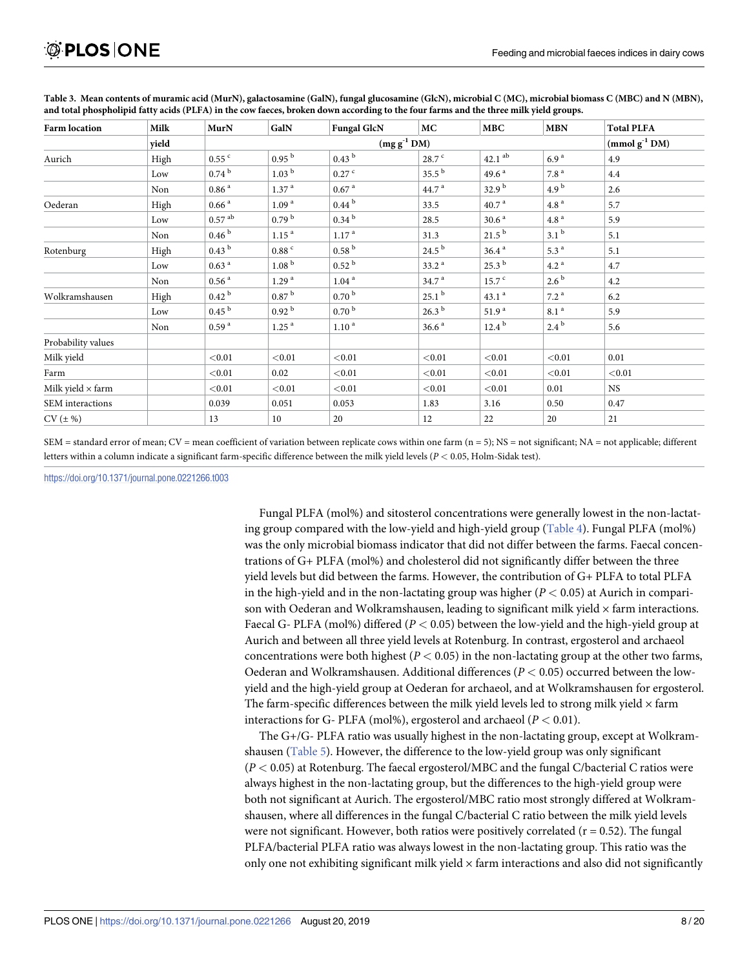| <b>Farm location</b>     | Milk  | MurN                 | GalN                | <b>Fungal GlcN</b> | MC                  | <b>MBC</b>           | <b>MBN</b>          | <b>Total PLFA</b> |
|--------------------------|-------|----------------------|---------------------|--------------------|---------------------|----------------------|---------------------|-------------------|
|                          | yield |                      | $(mg g^{-1}$ DM)    |                    |                     |                      |                     |                   |
| Aurich                   | High  | $0.55$ $\degree$     | $0.95^{b}$          | 0.43 <sup>b</sup>  | 28.7 <sup>c</sup>   | $42.1$ <sup>ab</sup> | 6.9 <sup>a</sup>    | 4.9               |
|                          | Low   | $0.74^{b}$           | 1.03 <sup>b</sup>   | $0.27$ $\degree$   | $35.5^{\mathrm{b}}$ | 49.6 $^{a}$          | 7.8 <sup>a</sup>    | 4.4               |
|                          | Non   | 0.86 <sup>a</sup>    | 1.37 <sup>a</sup>   | 0.67 <sup>a</sup>  | 44.7 <sup>a</sup>   | 32.9 <sup>b</sup>    | 4.9 $^{\rm b}$      | 2.6               |
| Oederan                  | High  | 0.66 <sup>a</sup>    | 1.09 <sup>a</sup>   | 0.44 <sup>b</sup>  | 33.5                | $40.7$ $^{\rm a}$    | 4.8 $^{\mathrm{a}}$ | 5.7               |
|                          | Low   | $0.57$ <sup>ab</sup> | 0.79 <sup>b</sup>   | $0.34^{b}$         | 28.5                | 30.6 <sup>a</sup>    | 4.8 $^{\mathrm{a}}$ | 5.9               |
|                          | Non   | 0.46 <sup>b</sup>    | 1.15 <sup>a</sup>   | 1.17 <sup>a</sup>  | 31.3                | $21.5^{\mathrm{b}}$  | 3.1 <sup>b</sup>    | 5.1               |
| Rotenburg                | High  | 0.43 <sup>b</sup>    | $0.88\,$ $^{\rm c}$ | $0.58$ $^{\rm b}$  | $24.5^{\mathrm{b}}$ | 36.4 <sup>a</sup>    | 5.3 <sup>a</sup>    | 5.1               |
|                          | Low   | 0.63 <sup>a</sup>    | 1.08 <sup>b</sup>   | 0.52 <sup>b</sup>  | 33.2 <sup>a</sup>   | 25.3 <sup>b</sup>    | 4.2 <sup>a</sup>    | 4.7               |
|                          | Non   | 0.56 <sup>a</sup>    | 1.29 <sup>a</sup>   | 1.04 <sup>a</sup>  | 34.7 <sup>a</sup>   | 15.7 <sup>c</sup>    | 2.6 <sup>b</sup>    | 4.2               |
| Wolkramshausen           | High  | $0.42^{b}$           | 0.87 <sup>b</sup>   | 0.70 <sup>b</sup>  | $25.1^{b}$          | 43.1 <sup>a</sup>    | 7.2 <sup>a</sup>    | 6.2               |
|                          | Low   | 0.45 <sup>b</sup>    | 0.92 <sup>b</sup>   | 0.70 <sup>b</sup>  | $26.3^{\mathrm{b}}$ | 51.9 $a$             | 8.1 <sup>a</sup>    | 5.9               |
|                          | Non   | 0.59 <sup>a</sup>    | 1.25 <sup>a</sup>   | 1.10 <sup>a</sup>  | 36.6 <sup>a</sup>   | $12.4^{b}$           | $2.4^{\mathrm{b}}$  | 5.6               |
| Probability values       |       |                      |                     |                    |                     |                      |                     |                   |
| Milk yield               |       | < 0.01               | < 0.01              | < 0.01             | < 0.01              | < 0.01               | < 0.01              | 0.01              |
| Farm                     |       | < 0.01               | 0.02                | < 0.01             | < 0.01              | < 0.01               | < 0.01              | < 0.01            |
| Milk yield $\times$ farm |       | < 0.01               | < 0.01              | < 0.01             | < 0.01              | < 0.01               | 0.01                | <b>NS</b>         |
| SEM interactions         |       | 0.039                | 0.051               | 0.053              | 1.83                | 3.16                 | 0.50                | 0.47              |
| CV(± %)                  |       | 13                   | 10                  | 20                 | 12                  | 22                   | 20                  | 21                |

<span id="page-7-0"></span>[Table](#page-6-0) 3. Mean contents of muramic acid (MurN), galactosamine (GalN), fungal glucosamine (GlcN), microbial C (MC), microbial biomass C (MBC) and N (MBN), and total phospholipid fatty acids (PLFA) in the cow faeces, broken down according to the four farms and the three milk yield groups.

SEM = standard error of mean; CV = mean coefficient of variation between replicate cows within one farm (n = 5); NS = not significant; NA = not applicable; different letters within a column indicate a significant farm-specific difference between the milk yield levels (*P <* 0.05, Holm-Sidak test).

<https://doi.org/10.1371/journal.pone.0221266.t003>

Fungal PLFA (mol%) and sitosterol concentrations were generally lowest in the non-lactating group compared with the low-yield and high-yield group [\(Table](#page-8-0) 4). Fungal PLFA (mol%) was the only microbial biomass indicator that did not differ between the farms. Faecal concentrations of G+ PLFA (mol%) and cholesterol did not significantly differ between the three yield levels but did between the farms. However, the contribution of G+ PLFA to total PLFA in the high-yield and in the non-lactating group was higher  $(P < 0.05)$  at Aurich in comparison with Oederan and Wolkramshausen, leading to significant milk yield  $\times$  farm interactions. Faecal G- PLFA (mol%) differed (*P <* 0.05) between the low-yield and the high-yield group at Aurich and between all three yield levels at Rotenburg. In contrast, ergosterol and archaeol concentrations were both highest  $(P < 0.05)$  in the non-lactating group at the other two farms, Oederan and Wolkramshausen. Additional differences (*P <* 0.05) occurred between the lowyield and the high-yield group at Oederan for archaeol, and at Wolkramshausen for ergosterol. The farm-specific differences between the milk yield levels led to strong milk yield  $\times$  farm interactions for G- PLFA (mol%), ergosterol and archaeol  $(P < 0.01)$ .

The G+/G- PLFA ratio was usually highest in the non-lactating group, except at Wolkramshausen [\(Table](#page-9-0) 5). However, the difference to the low-yield group was only significant (*P <* 0.05) at Rotenburg. The faecal ergosterol/MBC and the fungal C/bacterial C ratios were always highest in the non-lactating group, but the differences to the high-yield group were both not significant at Aurich. The ergosterol/MBC ratio most strongly differed at Wolkramshausen, where all differences in the fungal C/bacterial C ratio between the milk yield levels were not significant. However, both ratios were positively correlated ( $r = 0.52$ ). The fungal PLFA/bacterial PLFA ratio was always lowest in the non-lactating group. This ratio was the only one not exhibiting significant milk yield  $\times$  farm interactions and also did not significantly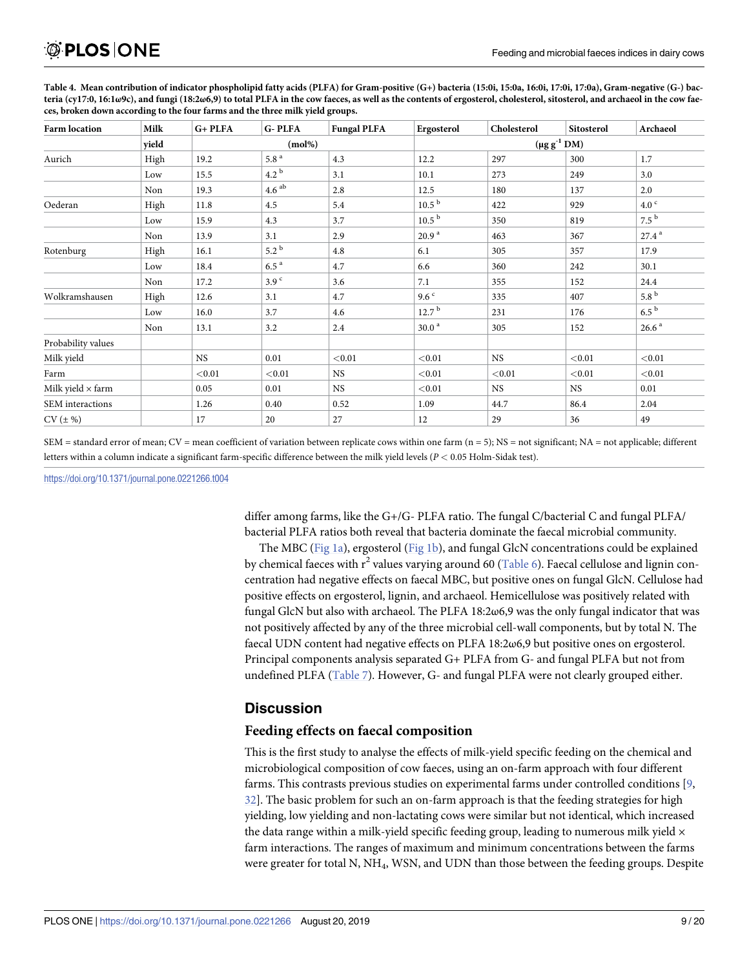| <b>Farm location</b>     | Milk | G+ PLFA   | <b>G-PLFA</b>     | <b>Fungal PLFA</b> | Ergosterol        | Cholesterol           | Sitosterol | Archaeol           |  |
|--------------------------|------|-----------|-------------------|--------------------|-------------------|-----------------------|------------|--------------------|--|
| yield                    |      |           | $(mol\%)$         |                    |                   | $(\mu g\ g^{-1}\ DM)$ |            |                    |  |
| Aurich                   | High | 19.2      | 5.8 <sup>a</sup>  | 4.3                | 12.2              | 297                   | 300        | 1.7                |  |
|                          | Low  | 15.5      | 4.2 <sup>b</sup>  | 3.1                | 10.1              | 273                   | 249        | 3.0                |  |
|                          | Non  | 19.3      | $4.6$ $^{\rm ab}$ | 2.8                | 12.5              | 180                   | 137        | 2.0                |  |
| Oederan                  | High | 11.8      | 4.5               | 5.4                | 10.5 <sup>b</sup> | 422                   | 929        | 4.0 <sup>c</sup>   |  |
|                          | Low  | 15.9      | 4.3               | 3.7                | 10.5 <sup>b</sup> | 350                   | 819        | $7.5^{\mathrm{b}}$ |  |
|                          | Non  | 13.9      | 3.1               | 2.9                | 20.9 <sup>a</sup> | 463                   | 367        | 27.4 <sup>a</sup>  |  |
| Rotenburg                | High | 16.1      | $5.2^{b}$         | 4.8                | 6.1               | 305                   | 357        | 17.9               |  |
|                          | Low  | 18.4      | 6.5 <sup>a</sup>  | 4.7                | 6.6               | 360                   | 242        | 30.1               |  |
|                          | Non  | 17.2      | 3.9 <sup>c</sup>  | 3.6                | 7.1               | 355                   | 152        | 24.4               |  |
| Wolkramshausen           | High | 12.6      | 3.1               | 4.7                | 9.6 $\degree$     | 335                   | 407        | $5.8^{\mathrm{b}}$ |  |
|                          | Low  | 16.0      | 3.7               | 4.6                | 12.7 <sup>b</sup> | 231                   | 176        | $6.5^{\mathrm{b}}$ |  |
|                          | Non  | 13.1      | 3.2               | 2.4                | 30.0 <sup>a</sup> | 305                   | 152        | 26.6 <sup>a</sup>  |  |
| Probability values       |      |           |                   |                    |                   |                       |            |                    |  |
| Milk yield               |      | <b>NS</b> | 0.01              | < 0.01             | < 0.01            | <b>NS</b>             | < 0.01     | < 0.01             |  |
| Farm                     |      | < 0.01    | < 0.01            | <b>NS</b>          | < 0.01            | < 0.01                | < 0.01     | < 0.01             |  |
| Milk yield $\times$ farm |      | 0.05      | 0.01              | <b>NS</b>          | < 0.01            | <b>NS</b>             | <b>NS</b>  | 0.01               |  |
| <b>SEM</b> interactions  |      | 1.26      | 0.40              | 0.52               | 1.09              | 44.7                  | 86.4       | 2.04               |  |
| CV(± %)                  |      | 17        | 20                | 27                 | 12                | 29                    | 36         | 49                 |  |

<span id="page-8-0"></span>[Table](#page-7-0) 4. Mean contribution of indicator phospholipid fatty acids (PLFA) for Gram-positive (G+) bacteria (15:0i, 15:0a, 16:0i, 17:0i, 17:0a), Gram-negative (G-) bacteria (cy17:0, 16:1ω9c), and fungi (18:2ω6,9) to total PLFA in the cow faeces, as well as the contents of ergosterol, cholesterol, sitosterol, and archaeol in the cow fae**ces, broken down according to the four farms and the three milk yield groups.**

SEM = standard error of mean; CV = mean coefficient of variation between replicate cows within one farm (n = 5); NS = not significant; NA = not applicable; different letters within a column indicate a significant farm-specific difference between the milk yield levels (*P <* 0.05 Holm-Sidak test).

<https://doi.org/10.1371/journal.pone.0221266.t004>

differ among farms, like the G+/G- PLFA ratio. The fungal C/bacterial C and fungal PLFA/ bacterial PLFA ratios both reveal that bacteria dominate the faecal microbial community.

The MBC ([Fig](#page-10-0) 1a), ergosterol ([Fig](#page-10-0) 1b), and fungal GlcN concentrations could be explained by chemical faeces with  $r^2$  values varying around 60 [\(Table](#page-11-0) 6). Faecal cellulose and lignin concentration had negative effects on faecal MBC, but positive ones on fungal GlcN. Cellulose had positive effects on ergosterol, lignin, and archaeol. Hemicellulose was positively related with fungal GlcN but also with archaeol. The PLFA 18:2ω6,9 was the only fungal indicator that was not positively affected by any of the three microbial cell-wall components, but by total N. The faecal UDN content had negative effects on PLFA 18:2ω6,9 but positive ones on ergosterol. Principal components analysis separated G+ PLFA from G- and fungal PLFA but not from undefined PLFA ([Table](#page-11-0) 7). However, G- and fungal PLFA were not clearly grouped either.

# **Discussion**

#### **Feeding effects on faecal composition**

This is the first study to analyse the effects of milk-yield specific feeding on the chemical and microbiological composition of cow faeces, using an on-farm approach with four different farms. This contrasts previous studies on experimental farms under controlled conditions [\[9](#page-15-0), [32\]](#page-16-0). The basic problem for such an on-farm approach is that the feeding strategies for high yielding, low yielding and non-lactating cows were similar but not identical, which increased the data range within a milk-yield specific feeding group, leading to numerous milk yield  $\times$ farm interactions. The ranges of maximum and minimum concentrations between the farms were greater for total N, NH4, WSN, and UDN than those between the feeding groups. Despite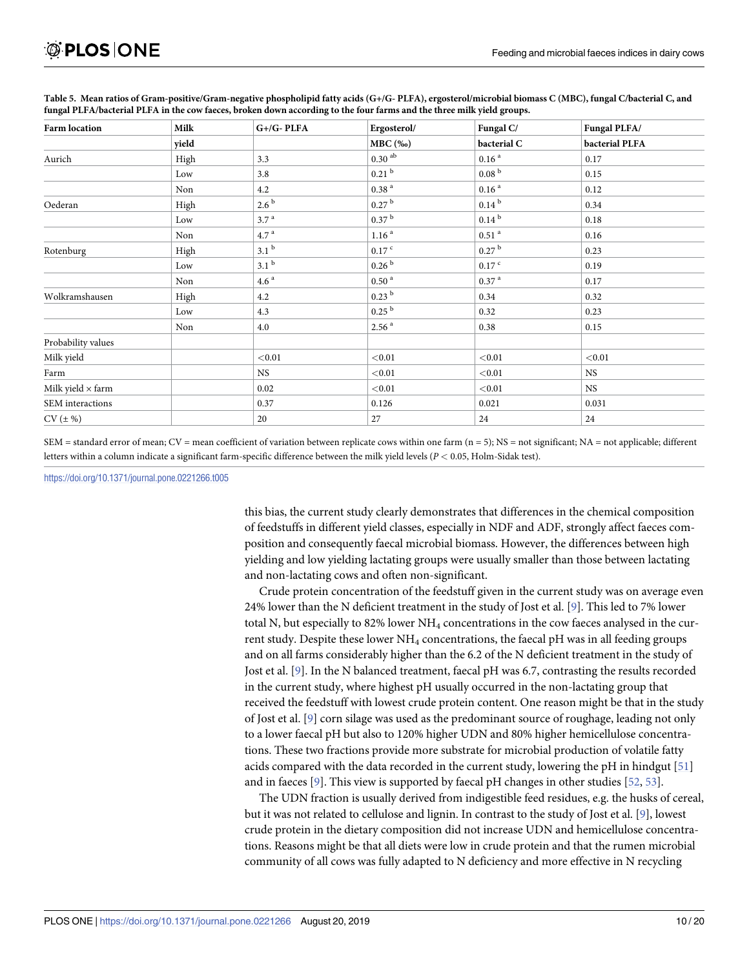| <b>Farm location</b>     | Milk  | $G + / G - PLFA$ | Ergosterol/       | Fungal C/           | Fungal PLFA/   |
|--------------------------|-------|------------------|-------------------|---------------------|----------------|
|                          | yield |                  | <b>MBC</b> (‰)    | bacterial C         | bacterial PLFA |
| Aurich                   | High  | 3.3              | $0.30\;^{\rm ab}$ | 0.16 <sup>a</sup>   | 0.17           |
|                          | Low   | 3.8              | $0.21$ b          | $0.08$ $^{\rm b}$   | 0.15           |
|                          | Non   | 4.2              | $0.38$ $^{\rm a}$ | $0.16$ $^{\rm a}$   | 0.12           |
| Oederan                  | High  | 2.6 <sup>b</sup> | 0.27 <sup>b</sup> | $0.14^{b}$          | 0.34           |
|                          | Low   | 3.7 <sup>a</sup> | 0.37 <sup>b</sup> | $0.14$ $^{\rm b}$   | 0.18           |
|                          | Non   | 4.7 <sup>a</sup> | 1.16 <sup>a</sup> | $0.51$ <sup>a</sup> | 0.16           |
| Rotenburg                | High  | 3.1 <sup>b</sup> | $0.17$ $^{\circ}$ | 0.27 <sup>b</sup>   | 0.23           |
|                          | Low   | 3.1 <sup>b</sup> | 0.26 <sup>b</sup> | $0.17$ $^{\rm c}$   | 0.19           |
|                          | Non   | 4.6 <sup>a</sup> | 0.50 <sup>a</sup> | 0.37 <sup>a</sup>   | 0.17           |
| Wolkramshausen           | High  | 4.2              | 0.23 <sup>b</sup> | 0.34                | 0.32           |
|                          | Low   | 4.3              | 0.25 <sup>b</sup> | 0.32                | 0.23           |
|                          | Non   | 4.0              | $2.56$ $^{\rm a}$ | 0.38                | 0.15           |
| Probability values       |       |                  |                   |                     |                |
| Milk yield               |       | < 0.01           | < 0.01            | < 0.01              | < 0.01         |
| Farm                     |       | <b>NS</b>        | < 0.01            | < 0.01              | <b>NS</b>      |
| Milk yield $\times$ farm |       | 0.02             | < 0.01            | < 0.01              | <b>NS</b>      |
| SEM interactions         |       | 0.37             | 0.126             | 0.021               | 0.031          |
| CV(± %)                  |       | 20               | 27                | 24                  | 24             |

<span id="page-9-0"></span>[Table](#page-7-0) 5. Mean ratios of Gram-positive/Gram-negative phospholipid fatty acids (G+/G-PLFA), ergosterol/microbial biomass C (MBC), fungal C/bacterial C, and fungal PLFA/bacterial PLFA in the cow faeces, broken down according to the four farms and the three milk yield groups.

SEM = standard error of mean; CV = mean coefficient of variation between replicate cows within one farm (n = 5); NS = not significant; NA = not applicable; different letters within a column indicate a significant farm-specific difference between the milk yield levels (*P <* 0.05, Holm-Sidak test).

<https://doi.org/10.1371/journal.pone.0221266.t005>

this bias, the current study clearly demonstrates that differences in the chemical composition of feedstuffs in different yield classes, especially in NDF and ADF, strongly affect faeces composition and consequently faecal microbial biomass. However, the differences between high yielding and low yielding lactating groups were usually smaller than those between lactating and non-lactating cows and often non-significant.

Crude protein concentration of the feedstuff given in the current study was on average even 24% lower than the N deficient treatment in the study of Jost et al. [[9\]](#page-15-0). This led to 7% lower total N, but especially to 82% lower  $NH<sub>4</sub>$  concentrations in the cow faeces analysed in the current study. Despite these lower  $NH_4$  concentrations, the faecal pH was in all feeding groups and on all farms considerably higher than the 6.2 of the N deficient treatment in the study of Jost et al. [\[9\]](#page-15-0). In the N balanced treatment, faecal pH was 6.7, contrasting the results recorded in the current study, where highest pH usually occurred in the non-lactating group that received the feedstuff with lowest crude protein content. One reason might be that in the study of Jost et al. [\[9](#page-15-0)] corn silage was used as the predominant source of roughage, leading not only to a lower faecal pH but also to 120% higher UDN and 80% higher hemicellulose concentrations. These two fractions provide more substrate for microbial production of volatile fatty acids compared with the data recorded in the current study, lowering the pH in hindgut [\[51\]](#page-17-0) and in faeces [[9\]](#page-15-0). This view is supported by faecal pH changes in other studies [[52](#page-17-0), [53](#page-17-0)].

The UDN fraction is usually derived from indigestible feed residues, e.g. the husks of cereal, but it was not related to cellulose and lignin. In contrast to the study of Jost et al. [\[9\]](#page-15-0), lowest crude protein in the dietary composition did not increase UDN and hemicellulose concentrations. Reasons might be that all diets were low in crude protein and that the rumen microbial community of all cows was fully adapted to N deficiency and more effective in N recycling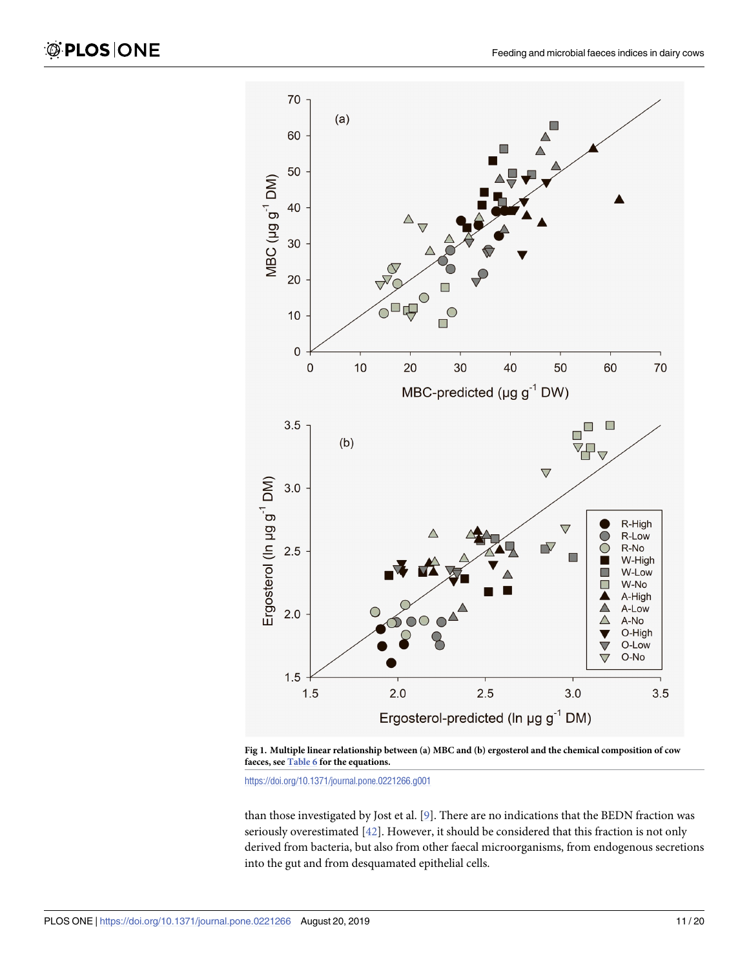<span id="page-10-0"></span>

[Fig](#page-8-0) 1. Multiple linear relationship between (a) MBC and (b) ergosterol and the chemical composition of cow **faeces, see [Table](#page-11-0) 6 for the equations.**

<https://doi.org/10.1371/journal.pone.0221266.g001>

than those investigated by Jost et al. [[9](#page-15-0)]. There are no indications that the BEDN fraction was seriously overestimated [\[42\]](#page-16-0). However, it should be considered that this fraction is not only derived from bacteria, but also from other faecal microorganisms, from endogenous secretions into the gut and from desquamated epithelial cells.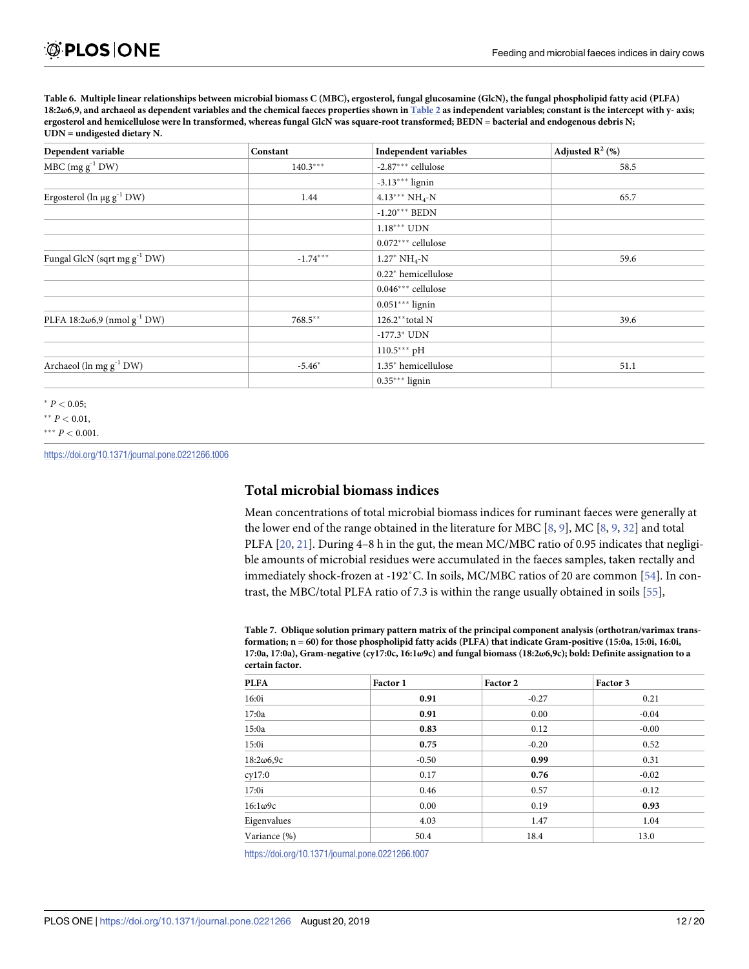<span id="page-11-0"></span>[Table](#page-8-0) 6. Multiple linear relationships between microbial biomass C (MBC), ergosterol, fungal glucosamine (GlcN), the fungal phospholipid fatty acid (PLFA) 18:2ω6,9, and archaeol as dependent variables and the chemical faeces properties shown in [Table](#page-6-0) 2 as independent variables; constant is the intercept with y- axis; ergosterol and hemicellulose were ln transformed, whereas fungal GlcN was square-root transformed; BEDN = bacterial and endogenous debris N; **UDN = undigested dietary N.**

| Dependent variable                               | Constant   | <b>Independent variables</b> | Adjusted $R^2$ (%) |
|--------------------------------------------------|------------|------------------------------|--------------------|
| $MBC (mg g-1 DW)$                                | $140.3***$ | -2.87*** cellulose           | 58.5               |
|                                                  |            | $-3.13***$ lignin            |                    |
| Ergosterol ( $\ln \mu$ g g <sup>-1</sup> DW)     | 1.44       | $4.13***NH_4-N$              | 65.7               |
|                                                  |            | $-1.20***$ BEDN              |                    |
|                                                  |            | $1.18***$ UDN                |                    |
|                                                  |            | $0.072***$ cellulose         |                    |
| Fungal GlcN (sqrt mg g <sup>-1</sup> DW)         | $-1.74***$ | $1.27^*$ NH <sub>4</sub> -N  | 59.6               |
|                                                  |            | 0.22* hemicellulose          |                    |
|                                                  |            | 0.046*** cellulose           |                    |
|                                                  |            | $0.051***$ lignin            |                    |
| PLFA 18:2 $\omega$ 6,9 (nmol g <sup>-1</sup> DW) | $768.5***$ | $126.2$ **total N            | 39.6               |
|                                                  |            | $-177.3$ UDN                 |                    |
|                                                  |            | $110.5***$ pH                |                    |
| Archaeol ( $\ln$ mg g <sup>-1</sup> DW)          | $-5.46*$   | 1.35* hemicellulose          | 51.1               |
|                                                  |            | $0.35***$ lignin             |                    |

 $* P < 0.05;$ 

 $*$   $*$   $P$  < 0.01,

 $^{\ast\ast\ast}$  *P* < 0.001.

<https://doi.org/10.1371/journal.pone.0221266.t006>

# **Total microbial biomass indices**

Mean concentrations of total microbial biomass indices for ruminant faeces were generally at the lower end of the range obtained in the literature for MBC [[8,](#page-15-0) [9\]](#page-15-0), MC [[8,](#page-15-0) [9,](#page-15-0) [32\]](#page-16-0) and total PLFA [[20](#page-15-0), [21](#page-15-0)]. During 4-8 h in the gut, the mean MC/MBC ratio of 0.95 indicates that negligible amounts of microbial residues were accumulated in the faeces samples, taken rectally and immediately shock-frozen at -192˚C. In soils, MC/MBC ratios of 20 are common [[54](#page-17-0)]. In contrast, the MBC/total PLFA ratio of 7.3 is within the range usually obtained in soils [[55](#page-17-0)],

**[Table](#page-8-0) 7. Oblique solution primary pattern matrix of the principal component analysis (orthotran/varimax transformation; n = 60) for those phospholipid fatty acids (PLFA) that indicate Gram-positive (15:0a, 15:0i, 16:0i,** 17:0a, 17:0a), Gram-negative (cy17:0c, 16:1ω9c) and fungal biomass (18:2ω6,9c); bold: Definite assignation to a **certain factor.**

| <b>PLFA</b>       | Factor 1 | Factor 2 | Factor 3 |
|-------------------|----------|----------|----------|
| 16:0i             | 0.91     | $-0.27$  | 0.21     |
| 17:0a             | 0.91     | 0.00     | $-0.04$  |
| 15:0a             | 0.83     | 0.12     | $-0.00$  |
| 15:0i             | 0.75     | $-0.20$  | 0.52     |
| $18:2\omega$ 6,9c | $-0.50$  | 0.99     | 0.31     |
| cy17:0            | 0.17     | 0.76     | $-0.02$  |
| 17:0i             | 0.46     | 0.57     | $-0.12$  |
| $16:1\omega$ 9c   | 0.00     | 0.19     | 0.93     |
| Eigenvalues       | 4.03     | 1.47     | 1.04     |
| Variance (%)      | 50.4     | 18.4     | 13.0     |

<https://doi.org/10.1371/journal.pone.0221266.t007>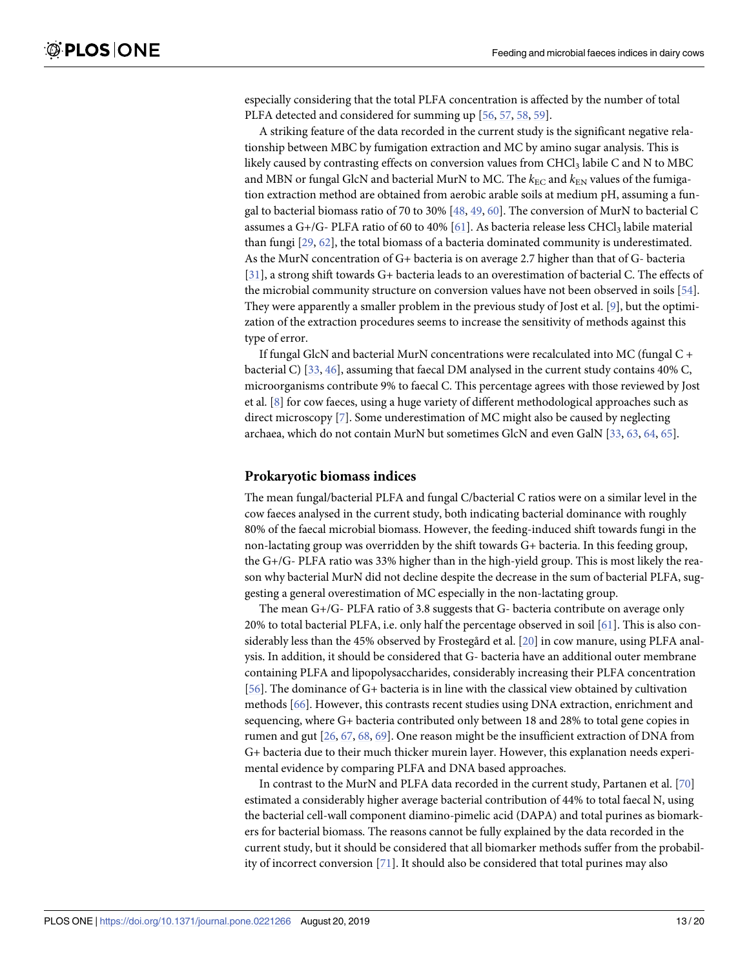<span id="page-12-0"></span>especially considering that the total PLFA concentration is affected by the number of total PLFA detected and considered for summing up [\[56,](#page-17-0) [57,](#page-17-0) [58,](#page-17-0) [59\]](#page-17-0).

A striking feature of the data recorded in the current study is the significant negative relationship between MBC by fumigation extraction and MC by amino sugar analysis. This is likely caused by contrasting effects on conversion values from  $CHCl<sub>3</sub>$  labile C and N to MBC and MBN or fungal GlcN and bacterial MurN to MC. The  $k_{\text{EC}}$  and  $k_{\text{EN}}$  values of the fumigation extraction method are obtained from aerobic arable soils at medium pH, assuming a fungal to bacterial biomass ratio of 70 to 30% [[48](#page-17-0), [49](#page-17-0), [60](#page-17-0)]. The conversion of MurN to bacterial C assumes a G+/G- PLFA ratio of 60 to 40% [[61](#page-17-0)]. As bacteria release less CHCl<sub>3</sub> labile material than fungi [[29](#page-16-0), [62](#page-17-0)], the total biomass of a bacteria dominated community is underestimated. As the MurN concentration of G+ bacteria is on average 2.7 higher than that of G- bacteria [\[31\]](#page-16-0), a strong shift towards G+ bacteria leads to an overestimation of bacterial C. The effects of the microbial community structure on conversion values have not been observed in soils [\[54\]](#page-17-0). They were apparently a smaller problem in the previous study of Jost et al. [[9\]](#page-15-0), but the optimization of the extraction procedures seems to increase the sensitivity of methods against this type of error.

If fungal GlcN and bacterial MurN concentrations were recalculated into MC (fungal C + bacterial C) [[33](#page-16-0), [46](#page-17-0)], assuming that faecal DM analysed in the current study contains 40% C, microorganisms contribute 9% to faecal C. This percentage agrees with those reviewed by Jost et al. [\[8\]](#page-15-0) for cow faeces, using a huge variety of different methodological approaches such as direct microscopy [\[7](#page-15-0)]. Some underestimation of MC might also be caused by neglecting archaea, which do not contain MurN but sometimes GlcN and even GalN [[33](#page-16-0), [63](#page-17-0), [64](#page-17-0), [65\]](#page-17-0).

#### **Prokaryotic biomass indices**

The mean fungal/bacterial PLFA and fungal C/bacterial C ratios were on a similar level in the cow faeces analysed in the current study, both indicating bacterial dominance with roughly 80% of the faecal microbial biomass. However, the feeding-induced shift towards fungi in the non-lactating group was overridden by the shift towards G+ bacteria. In this feeding group, the G+/G- PLFA ratio was 33% higher than in the high-yield group. This is most likely the reason why bacterial MurN did not decline despite the decrease in the sum of bacterial PLFA, suggesting a general overestimation of MC especially in the non-lactating group.

The mean G+/G- PLFA ratio of 3.8 suggests that G- bacteria contribute on average only 20% to total bacterial PLFA, i.e. only half the percentage observed in soil [[61](#page-17-0)]. This is also considerably less than the 45% observed by Frostegård et al. [\[20\]](#page-15-0) in cow manure, using PLFA analysis. In addition, it should be considered that G- bacteria have an additional outer membrane containing PLFA and lipopolysaccharides, considerably increasing their PLFA concentration [\[56\]](#page-17-0). The dominance of G+ bacteria is in line with the classical view obtained by cultivation methods [\[66\]](#page-17-0). However, this contrasts recent studies using DNA extraction, enrichment and sequencing, where G+ bacteria contributed only between 18 and 28% to total gene copies in rumen and gut [[26](#page-16-0), [67](#page-17-0), [68](#page-17-0), [69](#page-17-0)]. One reason might be the insufficient extraction of DNA from G+ bacteria due to their much thicker murein layer. However, this explanation needs experimental evidence by comparing PLFA and DNA based approaches.

In contrast to the MurN and PLFA data recorded in the current study, Partanen et al. [\[70\]](#page-18-0) estimated a considerably higher average bacterial contribution of 44% to total faecal N, using the bacterial cell-wall component diamino-pimelic acid (DAPA) and total purines as biomarkers for bacterial biomass. The reasons cannot be fully explained by the data recorded in the current study, but it should be considered that all biomarker methods suffer from the probability of incorrect conversion [[71](#page-18-0)]. It should also be considered that total purines may also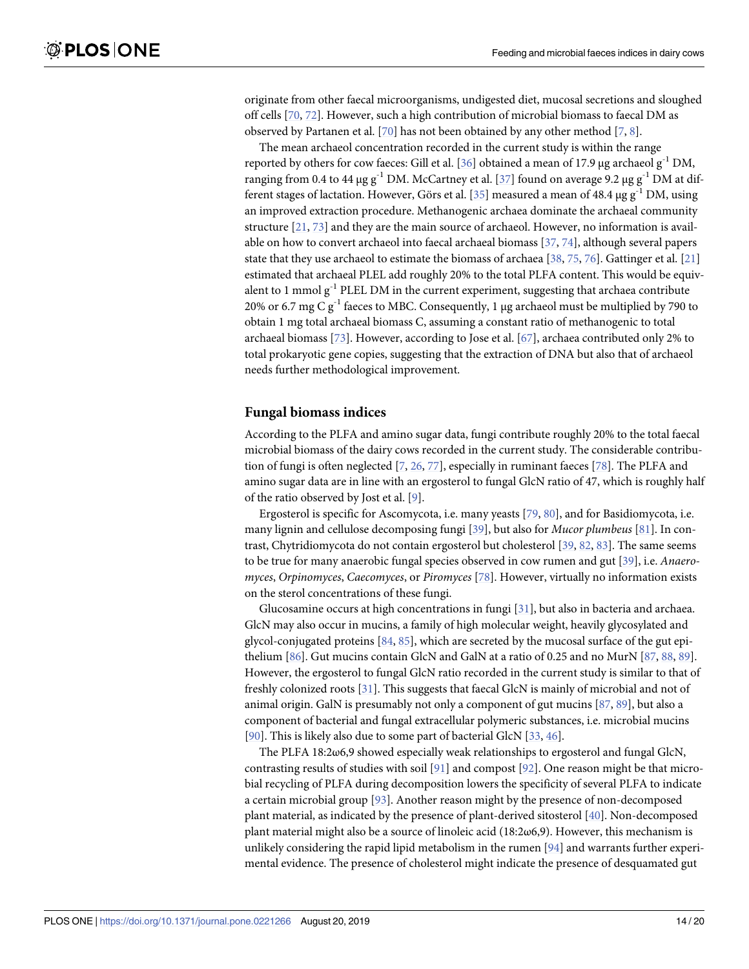<span id="page-13-0"></span>originate from other faecal microorganisms, undigested diet, mucosal secretions and sloughed off cells [[70](#page-18-0), [72](#page-18-0)]. However, such a high contribution of microbial biomass to faecal DM as observed by Partanen et al. [\[70\]](#page-18-0) has not been obtained by any other method [[7](#page-15-0), [8\]](#page-15-0).

The mean archaeol concentration recorded in the current study is within the range reported by others for cow faeces: Gill et al. [[36](#page-16-0)] obtained a mean of 17.9  $\mu$ g archaeol g<sup>-1</sup> DM, ranging from 0.4 to 44 μg g<sup>-1</sup> DM. McCartney et al. [\[37\]](#page-16-0) found on average 9.2 μg g<sup>-1</sup> DM at dif-ferent stages of lactation. However, Görs et al. [\[35\]](#page-16-0) measured a mean of 48.4  $\mu$ g g<sup>-1</sup> DM, using an improved extraction procedure. Methanogenic archaea dominate the archaeal community structure [[21](#page-15-0), [73](#page-18-0)] and they are the main source of archaeol. However, no information is available on how to convert archaeol into faecal archaeal biomass [\[37,](#page-16-0) [74\]](#page-18-0), although several papers state that they use archaeol to estimate the biomass of archaea [\[38](#page-16-0), [75](#page-18-0), [76](#page-18-0)]. Gattinger et al. [[21](#page-15-0)] estimated that archaeal PLEL add roughly 20% to the total PLFA content. This would be equivalent to 1 mmol  $g^{-1}$  PLEL DM in the current experiment, suggesting that archaea contribute 20% or 6.7 mg C  $g^{-1}$  faeces to MBC. Consequently, 1 µg archaeol must be multiplied by 790 to obtain 1 mg total archaeal biomass C, assuming a constant ratio of methanogenic to total archaeal biomass [\[73\]](#page-18-0). However, according to Jose et al. [\[67\]](#page-17-0), archaea contributed only 2% to total prokaryotic gene copies, suggesting that the extraction of DNA but also that of archaeol needs further methodological improvement.

#### **Fungal biomass indices**

According to the PLFA and amino sugar data, fungi contribute roughly 20% to the total faecal microbial biomass of the dairy cows recorded in the current study. The considerable contribution of fungi is often neglected [\[7](#page-15-0), [26](#page-16-0), [77](#page-18-0)], especially in ruminant faeces [\[78\]](#page-18-0). The PLFA and amino sugar data are in line with an ergosterol to fungal GlcN ratio of 47, which is roughly half of the ratio observed by Jost et al. [[9\]](#page-15-0).

Ergosterol is specific for Ascomycota, i.e. many yeasts [[79](#page-18-0), [80](#page-18-0)], and for Basidiomycota, i.e. many lignin and cellulose decomposing fungi [\[39\]](#page-16-0), but also for *Mucor plumbeus* [\[81\]](#page-18-0). In contrast, Chytridiomycota do not contain ergosterol but cholesterol [[39](#page-16-0), [82](#page-18-0), [83](#page-18-0)]. The same seems to be true for many anaerobic fungal species observed in cow rumen and gut [\[39\]](#page-16-0), i.e. *Anaeromyces*, *Orpinomyces*, *Caecomyces*, or *Piromyces* [\[78\]](#page-18-0). However, virtually no information exists on the sterol concentrations of these fungi.

Glucosamine occurs at high concentrations in fungi [[31](#page-16-0)], but also in bacteria and archaea. GlcN may also occur in mucins, a family of high molecular weight, heavily glycosylated and glycol-conjugated proteins [[84](#page-18-0), [85](#page-18-0)], which are secreted by the mucosal surface of the gut epithelium [[86](#page-18-0)]. Gut mucins contain GlcN and GalN at a ratio of 0.25 and no MurN [[87](#page-18-0), [88](#page-18-0), [89](#page-18-0)]. However, the ergosterol to fungal GlcN ratio recorded in the current study is similar to that of freshly colonized roots [[31](#page-16-0)]. This suggests that faecal GlcN is mainly of microbial and not of animal origin. GalN is presumably not only a component of gut mucins [[87](#page-18-0), [89](#page-18-0)], but also a component of bacterial and fungal extracellular polymeric substances, i.e. microbial mucins [\[90\]](#page-18-0). This is likely also due to some part of bacterial GlcN [[33,](#page-16-0) [46\]](#page-17-0).

The PLFA 18:2ω6,9 showed especially weak relationships to ergosterol and fungal GlcN, contrasting results of studies with soil [[91](#page-18-0)] and compost [\[92\]](#page-19-0). One reason might be that microbial recycling of PLFA during decomposition lowers the specificity of several PLFA to indicate a certain microbial group [[93](#page-19-0)]. Another reason might by the presence of non-decomposed plant material, as indicated by the presence of plant-derived sitosterol [\[40\]](#page-16-0). Non-decomposed plant material might also be a source of linoleic acid ( $18:2\omega(6,9)$ ). However, this mechanism is unlikely considering the rapid lipid metabolism in the rumen [\[94\]](#page-19-0) and warrants further experimental evidence. The presence of cholesterol might indicate the presence of desquamated gut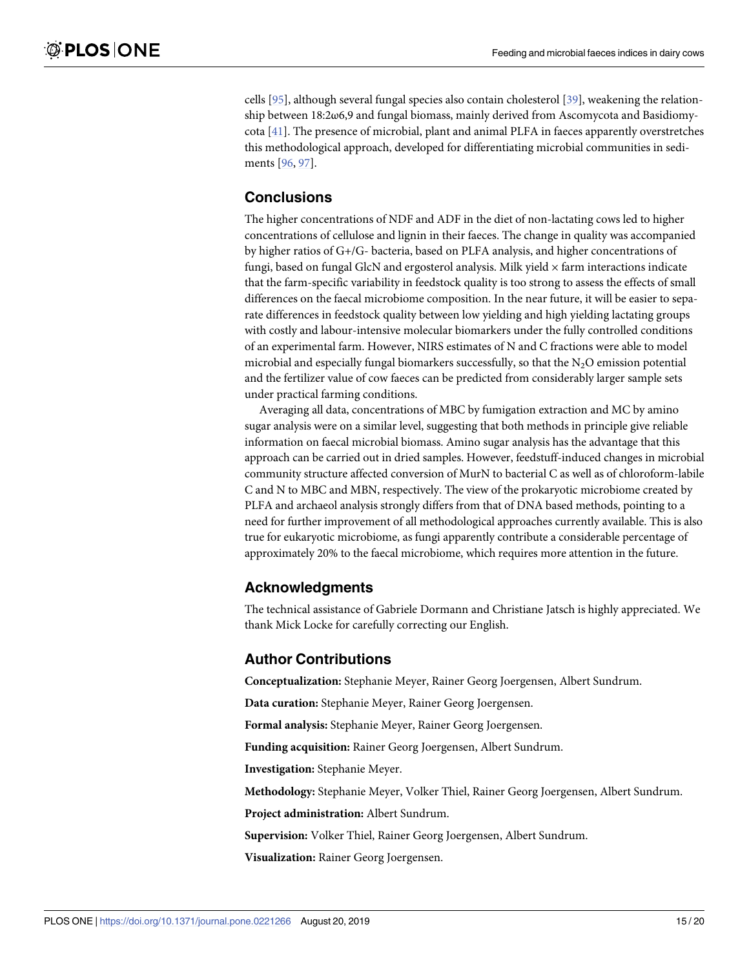<span id="page-14-0"></span>cells [[95](#page-19-0)], although several fungal species also contain cholesterol [\[39\]](#page-16-0), weakening the relationship between 18:2ω6,9 and fungal biomass, mainly derived from Ascomycota and Basidiomycota [\[41\]](#page-16-0). The presence of microbial, plant and animal PLFA in faeces apparently overstretches this methodological approach, developed for differentiating microbial communities in sediments [\[96,](#page-19-0) [97\]](#page-19-0).

# **Conclusions**

The higher concentrations of NDF and ADF in the diet of non-lactating cows led to higher concentrations of cellulose and lignin in their faeces. The change in quality was accompanied by higher ratios of G+/G- bacteria, based on PLFA analysis, and higher concentrations of fungi, based on fungal GlcN and ergosterol analysis. Milk yield  $\times$  farm interactions indicate that the farm-specific variability in feedstock quality is too strong to assess the effects of small differences on the faecal microbiome composition. In the near future, it will be easier to separate differences in feedstock quality between low yielding and high yielding lactating groups with costly and labour-intensive molecular biomarkers under the fully controlled conditions of an experimental farm. However, NIRS estimates of N and C fractions were able to model microbial and especially fungal biomarkers successfully, so that the  $N_2O$  emission potential and the fertilizer value of cow faeces can be predicted from considerably larger sample sets under practical farming conditions.

Averaging all data, concentrations of MBC by fumigation extraction and MC by amino sugar analysis were on a similar level, suggesting that both methods in principle give reliable information on faecal microbial biomass. Amino sugar analysis has the advantage that this approach can be carried out in dried samples. However, feedstuff-induced changes in microbial community structure affected conversion of MurN to bacterial C as well as of chloroform-labile C and N to MBC and MBN, respectively. The view of the prokaryotic microbiome created by PLFA and archaeol analysis strongly differs from that of DNA based methods, pointing to a need for further improvement of all methodological approaches currently available. This is also true for eukaryotic microbiome, as fungi apparently contribute a considerable percentage of approximately 20% to the faecal microbiome, which requires more attention in the future.

#### **Acknowledgments**

The technical assistance of Gabriele Dormann and Christiane Jatsch is highly appreciated. We thank Mick Locke for carefully correcting our English.

#### **Author Contributions**

**Conceptualization:** Stephanie Meyer, Rainer Georg Joergensen, Albert Sundrum.

**Data curation:** Stephanie Meyer, Rainer Georg Joergensen.

**Formal analysis:** Stephanie Meyer, Rainer Georg Joergensen.

**Funding acquisition:** Rainer Georg Joergensen, Albert Sundrum.

**Investigation:** Stephanie Meyer.

**Methodology:** Stephanie Meyer, Volker Thiel, Rainer Georg Joergensen, Albert Sundrum.

**Project administration:** Albert Sundrum.

**Supervision:** Volker Thiel, Rainer Georg Joergensen, Albert Sundrum.

**Visualization:** Rainer Georg Joergensen.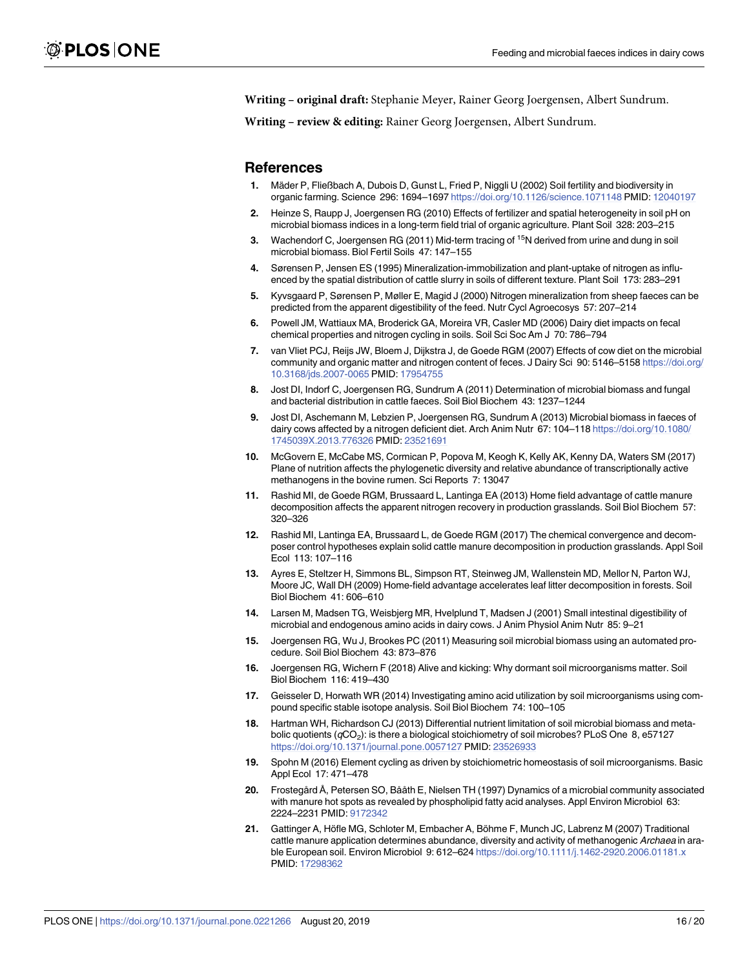<span id="page-15-0"></span>**Writing – original draft:** Stephanie Meyer, Rainer Georg Joergensen, Albert Sundrum.

**Writing – review & editing:** Rainer Georg Joergensen, Albert Sundrum.

#### **References**

- **[1](#page-0-0).** Mäder P, Fließbach A, Dubois D, Gunst L, Fried P, Niggli U (2002) Soil fertility and biodiversity in organic farming. Science 296: 1694–1697 <https://doi.org/10.1126/science.1071148> PMID: [12040197](http://www.ncbi.nlm.nih.gov/pubmed/12040197)
- **[2](#page-0-0).** Heinze S, Raupp J, Joergensen RG (2010) Effects of fertilizer and spatial heterogeneity in soil pH on microbial biomass indices in a long-term field trial of organic agriculture. Plant Soil 328: 203–215
- **[3](#page-0-0).** Wachendorf C, Joergensen RG (2011) Mid-term tracing of 15N derived from urine and dung in soil microbial biomass. Biol Fertil Soils 47: 147–155
- **[4](#page-0-0).** Sørensen P, Jensen ES (1995) Mineralization-immobilization and plant-uptake of nitrogen as influenced by the spatial distribution of cattle slurry in soils of different texture. Plant Soil 173: 283–291
- **[5](#page-0-0).** Kyvsgaard P, Sørensen P, Møller E, Magid J (2000) Nitrogen mineralization from sheep faeces can be predicted from the apparent digestibility of the feed. Nutr Cycl Agroecosys 57: 207–214
- **[6](#page-0-0).** Powell JM, Wattiaux MA, Broderick GA, Moreira VR, Casler MD (2006) Dairy diet impacts on fecal chemical properties and nitrogen cycling in soils. Soil Sci Soc Am J 70: 786–794
- **[7](#page-0-0).** van Vliet PCJ, Reijs JW, Bloem J, Dijkstra J, de Goede RGM (2007) Effects of cow diet on the microbial community and organic matter and nitrogen content of feces. J Dairy Sci 90: 5146–5158 [https://doi.org/](https://doi.org/10.3168/jds.2007-0065) [10.3168/jds.2007-0065](https://doi.org/10.3168/jds.2007-0065) PMID: [17954755](http://www.ncbi.nlm.nih.gov/pubmed/17954755)
- **[8](#page-0-0).** Jost DI, Indorf C, Joergensen RG, Sundrum A (2011) Determination of microbial biomass and fungal and bacterial distribution in cattle faeces. Soil Biol Biochem 43: 1237–1244
- **[9](#page-0-0).** Jost DI, Aschemann M, Lebzien P, Joergensen RG, Sundrum A (2013) Microbial biomass in faeces of dairy cows affected by a nitrogen deficient diet. Arch Anim Nutr 67: 104–118 [https://doi.org/10.1080/](https://doi.org/10.1080/1745039X.2013.776326) [1745039X.2013.776326](https://doi.org/10.1080/1745039X.2013.776326) PMID: [23521691](http://www.ncbi.nlm.nih.gov/pubmed/23521691)
- **[10](#page-0-0).** McGovern E, McCabe MS, Cormican P, Popova M, Keogh K, Kelly AK, Kenny DA, Waters SM (2017) Plane of nutrition affects the phylogenetic diversity and relative abundance of transcriptionally active methanogens in the bovine rumen. Sci Reports 7: 13047
- **[11](#page-0-0).** Rashid MI, de Goede RGM, Brussaard L, Lantinga EA (2013) Home field advantage of cattle manure decomposition affects the apparent nitrogen recovery in production grasslands. Soil Biol Biochem 57: 320–326
- **[12](#page-0-0).** Rashid MI, Lantinga EA, Brussaard L, de Goede RGM (2017) The chemical convergence and decomposer control hypotheses explain solid cattle manure decomposition in production grasslands. Appl Soil Ecol 113: 107–116
- **[13](#page-1-0).** Ayres E, Steltzer H, Simmons BL, Simpson RT, Steinweg JM, Wallenstein MD, Mellor N, Parton WJ, Moore JC, Wall DH (2009) Home-field advantage accelerates leaf litter decomposition in forests. Soil Biol Biochem 41: 606–610
- **[14](#page-1-0).** Larsen M, Madsen TG, Weisbjerg MR, Hvelplund T, Madsen J (2001) Small intestinal digestibility of microbial and endogenous amino acids in dairy cows. J Anim Physiol Anim Nutr 85: 9–21
- **[15](#page-1-0).** Joergensen RG, Wu J, Brookes PC (2011) Measuring soil microbial biomass using an automated procedure. Soil Biol Biochem 43: 873–876
- **[16](#page-1-0).** Joergensen RG, Wichern F (2018) Alive and kicking: Why dormant soil microorganisms matter. Soil Biol Biochem 116: 419–430
- **[17](#page-1-0).** Geisseler D, Horwath WR (2014) Investigating amino acid utilization by soil microorganisms using compound specific stable isotope analysis. Soil Biol Biochem 74: 100–105
- **[18](#page-1-0).** Hartman WH, Richardson CJ (2013) Differential nutrient limitation of soil microbial biomass and metabolic quotients  $(qCO<sub>2</sub>)$ : is there a biological stoichiometry of soil microbes? PLoS One 8, e57127 <https://doi.org/10.1371/journal.pone.0057127> PMID: [23526933](http://www.ncbi.nlm.nih.gov/pubmed/23526933)
- **[19](#page-1-0).** Spohn M (2016) Element cycling as driven by stoichiometric homeostasis of soil microorganisms. Basic Appl Ecol 17: 471–478
- **[20](#page-1-0).** Frostegård Å, Petersen SO, Bååth E, Nielsen TH (1997) Dynamics of a microbial community associated with manure hot spots as revealed by phospholipid fatty acid analyses. Appl Environ Microbiol 63: 2224–2231 PMID: [9172342](http://www.ncbi.nlm.nih.gov/pubmed/9172342)
- [21](#page-1-0). Gattinger A, Höfle MG, Schloter M, Embacher A, Böhme F, Munch JC, Labrenz M (2007) Traditional cattle manure application determines abundance, diversity and activity of methanogenic Archaea in arable European soil. Environ Microbiol 9: 612–624 <https://doi.org/10.1111/j.1462-2920.2006.01181.x> PMID: [17298362](http://www.ncbi.nlm.nih.gov/pubmed/17298362)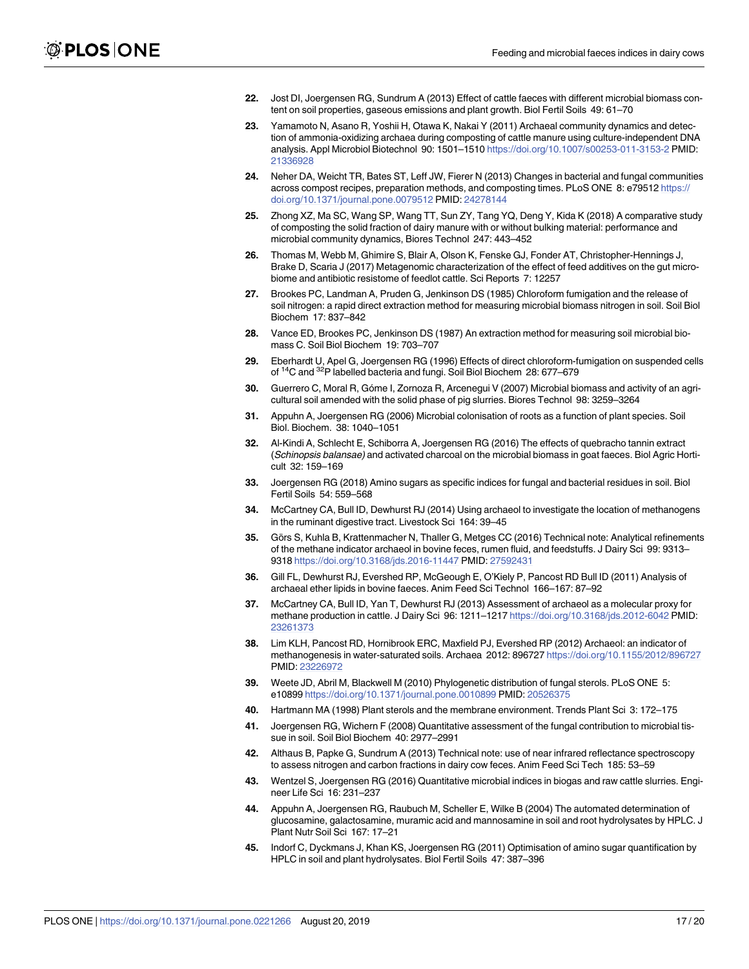- <span id="page-16-0"></span>**[22](#page-1-0).** Jost DI, Joergensen RG, Sundrum A (2013) Effect of cattle faeces with different microbial biomass content on soil properties, gaseous emissions and plant growth. Biol Fertil Soils 49: 61–70
- **[23](#page-1-0).** Yamamoto N, Asano R, Yoshii H, Otawa K, Nakai Y (2011) Archaeal community dynamics and detection of ammonia-oxidizing archaea during composting of cattle manure using culture-independent DNA analysis. Appl Microbiol Biotechnol 90: 1501–1510 <https://doi.org/10.1007/s00253-011-3153-2> PMID: [21336928](http://www.ncbi.nlm.nih.gov/pubmed/21336928)
- **[24](#page-1-0).** Neher DA, Weicht TR, Bates ST, Leff JW, Fierer N (2013) Changes in bacterial and fungal communities across compost recipes, preparation methods, and composting times. PLoS ONE 8: e79512 [https://](https://doi.org/10.1371/journal.pone.0079512) [doi.org/10.1371/journal.pone.0079512](https://doi.org/10.1371/journal.pone.0079512) PMID: [24278144](http://www.ncbi.nlm.nih.gov/pubmed/24278144)
- **[25](#page-1-0).** Zhong XZ, Ma SC, Wang SP, Wang TT, Sun ZY, Tang YQ, Deng Y, Kida K (2018) A comparative study of composting the solid fraction of dairy manure with or without bulking material: performance and microbial community dynamics, Biores Technol 247: 443–452
- **[26](#page-1-0).** Thomas M, Webb M, Ghimire S, Blair A, Olson K, Fenske GJ, Fonder AT, Christopher-Hennings J, Brake D, Scaria J (2017) Metagenomic characterization of the effect of feed additives on the gut microbiome and antibiotic resistome of feedlot cattle. Sci Reports 7: 12257
- **[27](#page-1-0).** Brookes PC, Landman A, Pruden G, Jenkinson DS (1985) Chloroform fumigation and the release of soil nitrogen: a rapid direct extraction method for measuring microbial biomass nitrogen in soil. Soil Biol Biochem 17: 837–842
- **[28](#page-1-0).** Vance ED, Brookes PC, Jenkinson DS (1987) An extraction method for measuring soil microbial biomass C. Soil Biol Biochem 19: 703–707
- **[29](#page-1-0).** Eberhardt U, Apel G, Joergensen RG (1996) Effects of direct chloroform-fumigation on suspended cells of <sup>14</sup>C and <sup>32</sup>P labelled bacteria and fungi. Soil Biol Biochem 28: 677–679
- **[30](#page-1-0).** Guerrero C, Moral R, Go´me I, Zornoza R, Arcenegui V (2007) Microbial biomass and activity of an agricultural soil amended with the solid phase of pig slurries. Biores Technol 98: 3259–3264
- **[31](#page-1-0).** Appuhn A, Joergensen RG (2006) Microbial colonisation of roots as a function of plant species. Soil Biol. Biochem. 38: 1040–1051
- **[32](#page-1-0).** Al-Kindi A, Schlecht E, Schiborra A, Joergensen RG (2016) The effects of quebracho tannin extract (Schinopsis balansae) and activated charcoal on the microbial biomass in goat faeces. Biol Agric Horticult 32: 159–169
- **[33](#page-1-0).** Joergensen RG (2018) Amino sugars as specific indices for fungal and bacterial residues in soil. Biol Fertil Soils 54: 559–568
- **[34](#page-1-0).** McCartney CA, Bull ID, Dewhurst RJ (2014) Using archaeol to investigate the location of methanogens in the ruminant digestive tract. Livestock Sci 164: 39–45
- **[35](#page-1-0).** Görs S, Kuhla B, Krattenmacher N, Thaller G, Metges CC (2016) Technical note: Analytical refinements of the methane indicator archaeol in bovine feces, rumen fluid, and feedstuffs. J Dairy Sci 99: 9313– 9318 <https://doi.org/10.3168/jds.2016-11447> PMID: [27592431](http://www.ncbi.nlm.nih.gov/pubmed/27592431)
- **[36](#page-1-0).** Gill FL, Dewhurst RJ, Evershed RP, McGeough E, O'Kiely P, Pancost RD Bull ID (2011) Analysis of archaeal ether lipids in bovine faeces. Anim Feed Sci Technol 166–167: 87–92
- **[37](#page-1-0).** McCartney CA, Bull ID, Yan T, Dewhurst RJ (2013) Assessment of archaeol as a molecular proxy for methane production in cattle. J Dairy Sci 96: 1211–1217 <https://doi.org/10.3168/jds.2012-6042> PMID: [23261373](http://www.ncbi.nlm.nih.gov/pubmed/23261373)
- **[38](#page-1-0).** Lim KLH, Pancost RD, Hornibrook ERC, Maxfield PJ, Evershed RP (2012) Archaeol: an indicator of methanogenesis in water-saturated soils. Archaea 2012: 896727 <https://doi.org/10.1155/2012/896727> PMID: [23226972](http://www.ncbi.nlm.nih.gov/pubmed/23226972)
- **[39](#page-1-0).** Weete JD, Abril M, Blackwell M (2010) Phylogenetic distribution of fungal sterols. PLoS ONE 5: e10899 <https://doi.org/10.1371/journal.pone.0010899> PMID: [20526375](http://www.ncbi.nlm.nih.gov/pubmed/20526375)
- **[40](#page-1-0).** Hartmann MA (1998) Plant sterols and the membrane environment. Trends Plant Sci 3: 172–175
- **[41](#page-1-0).** Joergensen RG, Wichern F (2008) Quantitative assessment of the fungal contribution to microbial tissue in soil. Soil Biol Biochem 40: 2977–2991
- **[42](#page-2-0).** Althaus B, Papke G, Sundrum A (2013) Technical note: use of near infrared reflectance spectroscopy to assess nitrogen and carbon fractions in dairy cow feces. Anim Feed Sci Tech 185: 53–59
- **[43](#page-3-0).** Wentzel S, Joergensen RG (2016) Quantitative microbial indices in biogas and raw cattle slurries. Engineer Life Sci 16: 231–237
- **[44](#page-3-0).** Appuhn A, Joergensen RG, Raubuch M, Scheller E, Wilke B (2004) The automated determination of glucosamine, galactosamine, muramic acid and mannosamine in soil and root hydrolysates by HPLC. J Plant Nutr Soil Sci 167: 17–21
- **[45](#page-3-0).** Indorf C, Dyckmans J, Khan KS, Joergensen RG (2011) Optimisation of amino sugar quantification by HPLC in soil and plant hydrolysates. Biol Fertil Soils 47: 387–396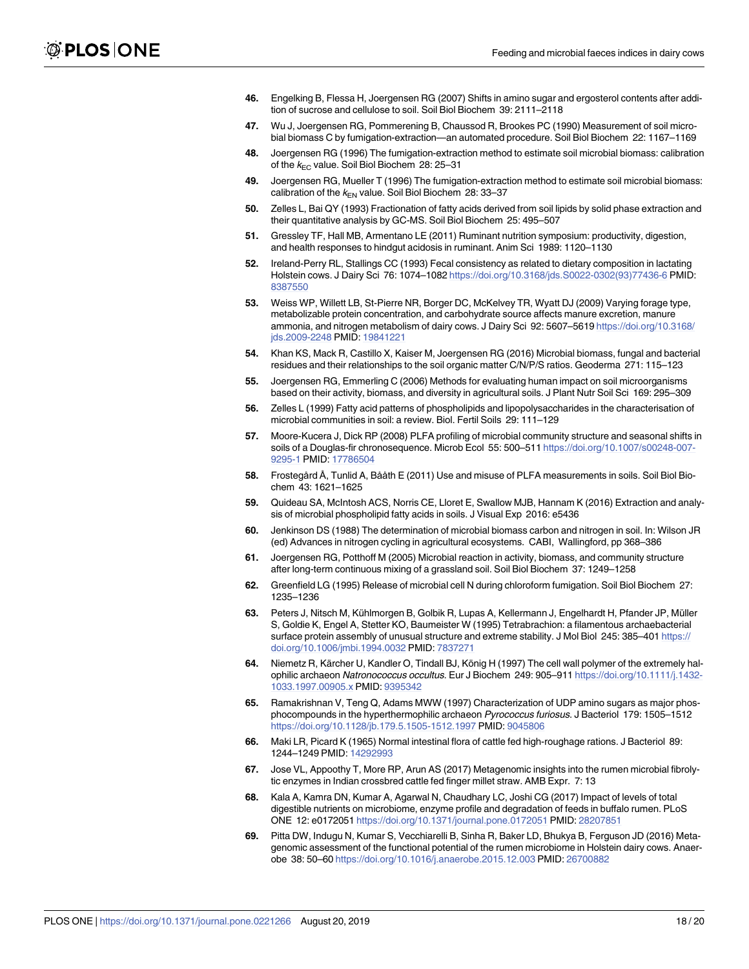- <span id="page-17-0"></span>**[46](#page-4-0).** Engelking B, Flessa H, Joergensen RG (2007) Shifts in amino sugar and ergosterol contents after addition of sucrose and cellulose to soil. Soil Biol Biochem 39: 2111–2118
- **[47](#page-4-0).** Wu J, Joergensen RG, Pommerening B, Chaussod R, Brookes PC (1990) Measurement of soil microbial biomass C by fumigation-extraction—an automated procedure. Soil Biol Biochem 22: 1167–1169
- **[48](#page-4-0).** Joergensen RG (1996) The fumigation-extraction method to estimate soil microbial biomass: calibration of the  $k_{EC}$  value. Soil Biol Biochem 28: 25-31
- **[49](#page-4-0).** Joergensen RG, Mueller T (1996) The fumigation-extraction method to estimate soil microbial biomass: calibration of the  $k_{EN}$  value. Soil Biol Biochem 28: 33-37
- **[50](#page-4-0).** Zelles L, Bai QY (1993) Fractionation of fatty acids derived from soil lipids by solid phase extraction and their quantitative analysis by GC-MS. Soil Biol Biochem 25: 495–507
- **[51](#page-9-0).** Gressley TF, Hall MB, Armentano LE (2011) Ruminant nutrition symposium: productivity, digestion, and health responses to hindgut acidosis in ruminant. Anim Sci 1989: 1120–1130
- **[52](#page-9-0).** Ireland-Perry RL, Stallings CC (1993) Fecal consistency as related to dietary composition in lactating Holstein cows. J Dairy Sci 76: 1074–1082 [https://doi.org/10.3168/jds.S0022-0302\(93\)77436-6](https://doi.org/10.3168/jds.S0022-0302(93)77436-6) PMID: [8387550](http://www.ncbi.nlm.nih.gov/pubmed/8387550)
- **[53](#page-9-0).** Weiss WP, Willett LB, St-Pierre NR, Borger DC, McKelvey TR, Wyatt DJ (2009) Varying forage type, metabolizable protein concentration, and carbohydrate source affects manure excretion, manure ammonia, and nitrogen metabolism of dairy cows. J Dairy Sci 92: 5607–5619 [https://doi.org/10.3168/](https://doi.org/10.3168/jds.2009-2248) [jds.2009-2248](https://doi.org/10.3168/jds.2009-2248) PMID: [19841221](http://www.ncbi.nlm.nih.gov/pubmed/19841221)
- **[54](#page-11-0).** Khan KS, Mack R, Castillo X, Kaiser M, Joergensen RG (2016) Microbial biomass, fungal and bacterial residues and their relationships to the soil organic matter C/N/P/S ratios. Geoderma 271: 115–123
- **[55](#page-11-0).** Joergensen RG, Emmerling C (2006) Methods for evaluating human impact on soil microorganisms based on their activity, biomass, and diversity in agricultural soils. J Plant Nutr Soil Sci 169: 295–309
- **[56](#page-12-0).** Zelles L (1999) Fatty acid patterns of phospholipids and lipopolysaccharides in the characterisation of microbial communities in soil: a review. Biol. Fertil Soils 29: 111–129
- **[57](#page-12-0).** Moore-Kucera J, Dick RP (2008) PLFA profiling of microbial community structure and seasonal shifts in soils of a Douglas-fir chronosequence. Microb Ecol 55: 500–511 [https://doi.org/10.1007/s00248-007-](https://doi.org/10.1007/s00248-007-9295-1) [9295-1](https://doi.org/10.1007/s00248-007-9295-1) PMID: [17786504](http://www.ncbi.nlm.nih.gov/pubmed/17786504)
- **[58](#page-12-0).** Frostegård Å, Tunlid A, Bååth E (2011) Use and misuse of PLFA measurements in soils. Soil Biol Biochem 43: 1621–1625
- **[59](#page-12-0).** Quideau SA, McIntosh ACS, Norris CE, Lloret E, Swallow MJB, Hannam K (2016) Extraction and analysis of microbial phospholipid fatty acids in soils. J Visual Exp 2016: e5436
- **[60](#page-12-0).** Jenkinson DS (1988) The determination of microbial biomass carbon and nitrogen in soil. In: Wilson JR (ed) Advances in nitrogen cycling in agricultural ecosystems. CABI, Wallingford, pp 368–386
- **[61](#page-12-0).** Joergensen RG, Potthoff M (2005) Microbial reaction in activity, biomass, and community structure after long-term continuous mixing of a grassland soil. Soil Biol Biochem 37: 1249–1258
- **[62](#page-12-0).** Greenfield LG (1995) Release of microbial cell N during chloroform fumigation. Soil Biol Biochem 27: 1235–1236
- **[63](#page-12-0).** Peters J, Nitsch M, Kühlmorgen B, Golbik R, Lupas A, Kellermann J, Engelhardt H, Pfander JP, Müller S, Goldie K, Engel A, Stetter KO, Baumeister W (1995) Tetrabrachion: a filamentous archaebacterial surface protein assembly of unusual structure and extreme stability. J Mol Biol 245: 385–401 [https://](https://doi.org/10.1006/jmbi.1994.0032) [doi.org/10.1006/jmbi.1994.0032](https://doi.org/10.1006/jmbi.1994.0032) PMID: [7837271](http://www.ncbi.nlm.nih.gov/pubmed/7837271)
- **[64](#page-12-0).** Niemetz R, Kärcher U, Kandler O, Tindall BJ, König H (1997) The cell wall polymer of the extremely halophilic archaeon Natronococcus occultus. Eur J Biochem 249: 905-911 [https://doi.org/10.1111/j.1432-](https://doi.org/10.1111/j.1432-1033.1997.00905.x) [1033.1997.00905.x](https://doi.org/10.1111/j.1432-1033.1997.00905.x) PMID: [9395342](http://www.ncbi.nlm.nih.gov/pubmed/9395342)
- **[65](#page-12-0).** Ramakrishnan V, Teng Q, Adams MWW (1997) Characterization of UDP amino sugars as major phosphocompounds in the hyperthermophilic archaeon Pyrococcus furiosus. J Bacteriol 179: 1505–1512 <https://doi.org/10.1128/jb.179.5.1505-1512.1997> PMID: [9045806](http://www.ncbi.nlm.nih.gov/pubmed/9045806)
- **[66](#page-12-0).** Maki LR, Picard K (1965) Normal intestinal flora of cattle fed high-roughage rations. J Bacteriol 89: 1244–1249 PMID: [14292993](http://www.ncbi.nlm.nih.gov/pubmed/14292993)
- **[67](#page-12-0).** Jose VL, Appoothy T, More RP, Arun AS (2017) Metagenomic insights into the rumen microbial fibrolytic enzymes in Indian crossbred cattle fed finger millet straw. AMB Expr. 7: 13
- **[68](#page-12-0).** Kala A, Kamra DN, Kumar A, Agarwal N, Chaudhary LC, Joshi CG (2017) Impact of levels of total digestible nutrients on microbiome, enzyme profile and degradation of feeds in buffalo rumen. PLoS ONE 12: e0172051 <https://doi.org/10.1371/journal.pone.0172051> PMID: [28207851](http://www.ncbi.nlm.nih.gov/pubmed/28207851)
- **[69](#page-12-0).** Pitta DW, Indugu N, Kumar S, Vecchiarelli B, Sinha R, Baker LD, Bhukya B, Ferguson JD (2016) Metagenomic assessment of the functional potential of the rumen microbiome in Holstein dairy cows. Anaerobe 38: 50–60 <https://doi.org/10.1016/j.anaerobe.2015.12.003> PMID: [26700882](http://www.ncbi.nlm.nih.gov/pubmed/26700882)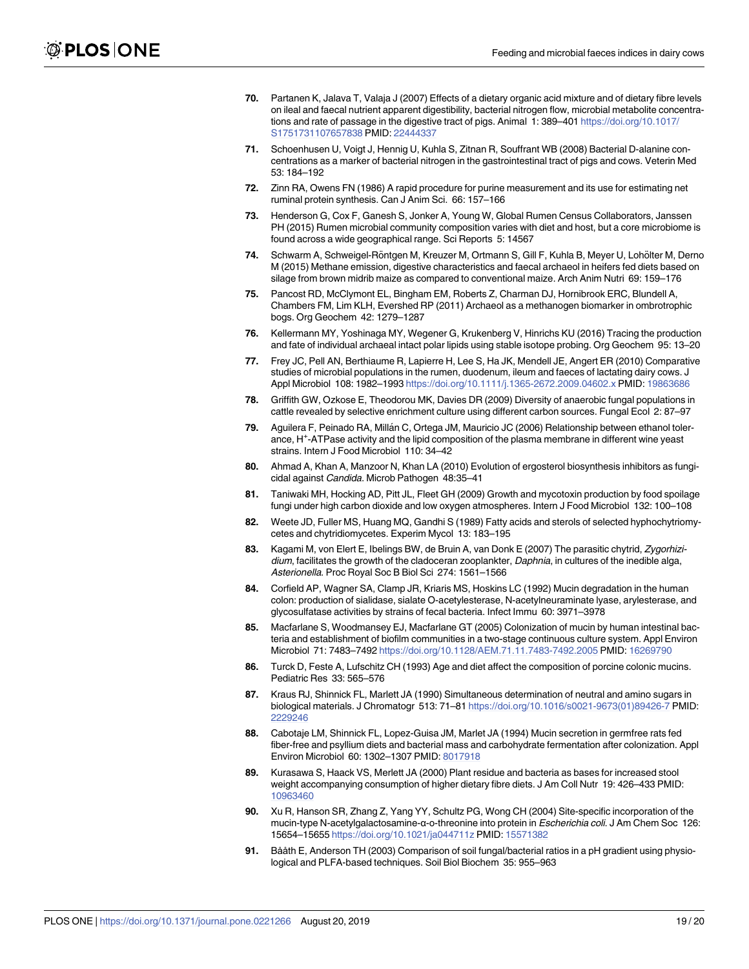- <span id="page-18-0"></span>**[70](#page-12-0).** Partanen K, Jalava T, Valaja J (2007) Effects of a dietary organic acid mixture and of dietary fibre levels on ileal and faecal nutrient apparent digestibility, bacterial nitrogen flow, microbial metabolite concentrations and rate of passage in the digestive tract of pigs. Animal 1: 389–401 [https://doi.org/10.1017/](https://doi.org/10.1017/S1751731107657838) [S1751731107657838](https://doi.org/10.1017/S1751731107657838) PMID: [22444337](http://www.ncbi.nlm.nih.gov/pubmed/22444337)
- **[71](#page-12-0).** Schoenhusen U, Voigt J, Hennig U, Kuhla S, Zitnan R, Souffrant WB (2008) Bacterial D-alanine concentrations as a marker of bacterial nitrogen in the gastrointestinal tract of pigs and cows. Veterin Med 53: 184–192
- **[72](#page-13-0).** Zinn RA, Owens FN (1986) A rapid procedure for purine measurement and its use for estimating net ruminal protein synthesis. Can J Anim Sci. 66: 157–166
- **[73](#page-13-0).** Henderson G, Cox F, Ganesh S, Jonker A, Young W, Global Rumen Census Collaborators, Janssen PH (2015) Rumen microbial community composition varies with diet and host, but a core microbiome is found across a wide geographical range. Sci Reports 5: 14567
- **[74](#page-13-0).** Schwarm A, Schweigel-Röntgen M, Kreuzer M, Ortmann S, Gill F, Kuhla B, Meyer U, Lohölter M, Derno M (2015) Methane emission, digestive characteristics and faecal archaeol in heifers fed diets based on silage from brown midrib maize as compared to conventional maize. Arch Anim Nutri 69: 159–176
- **[75](#page-13-0).** Pancost RD, McClymont EL, Bingham EM, Roberts Z, Charman DJ, Hornibrook ERC, Blundell A, Chambers FM, Lim KLH, Evershed RP (2011) Archaeol as a methanogen biomarker in ombrotrophic bogs. Org Geochem 42: 1279–1287
- **[76](#page-13-0).** Kellermann MY, Yoshinaga MY, Wegener G, Krukenberg V, Hinrichs KU (2016) Tracing the production and fate of individual archaeal intact polar lipids using stable isotope probing. Org Geochem 95: 13–20
- **[77](#page-13-0).** Frey JC, Pell AN, Berthiaume R, Lapierre H, Lee S, Ha JK, Mendell JE, Angert ER (2010) Comparative studies of microbial populations in the rumen, duodenum, ileum and faeces of lactating dairy cows. J Appl Microbiol 108: 1982–1993 <https://doi.org/10.1111/j.1365-2672.2009.04602.x> PMID: [19863686](http://www.ncbi.nlm.nih.gov/pubmed/19863686)
- **[78](#page-13-0).** Griffith GW, Ozkose E, Theodorou MK, Davies DR (2009) Diversity of anaerobic fungal populations in cattle revealed by selective enrichment culture using different carbon sources. Fungal Ecol 2: 87–97
- **[79](#page-13-0).** Aguilera F, Peinado RA, Milla´n C, Ortega JM, Mauricio JC (2006) Relationship between ethanol tolerance, H<sup>+</sup>-ATPase activity and the lipid composition of the plasma membrane in different wine yeast strains. Intern J Food Microbiol 110: 34–42
- **[80](#page-13-0).** Ahmad A, Khan A, Manzoor N, Khan LA (2010) Evolution of ergosterol biosynthesis inhibitors as fungicidal against Candida. Microb Pathogen 48:35–41
- **[81](#page-13-0).** Taniwaki MH, Hocking AD, Pitt JL, Fleet GH (2009) Growth and mycotoxin production by food spoilage fungi under high carbon dioxide and low oxygen atmospheres. Intern J Food Microbiol 132: 100–108
- **[82](#page-13-0).** Weete JD, Fuller MS, Huang MQ, Gandhi S (1989) Fatty acids and sterols of selected hyphochytriomycetes and chytridiomycetes. Experim Mycol 13: 183–195
- **[83](#page-13-0).** Kagami M, von Elert E, Ibelings BW, de Bruin A, van Donk E (2007) The parasitic chytrid, Zygorhizidium, facilitates the growth of the cladoceran zooplankter, Daphnia, in cultures of the inedible alga, Asterionella. Proc Royal Soc B Biol Sci 274: 1561–1566
- **[84](#page-13-0).** Corfield AP, Wagner SA, Clamp JR, Kriaris MS, Hoskins LC (1992) Mucin degradation in the human colon: production of sialidase, sialate O-acetylesterase, N-acetylneuraminate lyase, arylesterase, and glycosulfatase activities by strains of fecal bacteria. Infect Immu 60: 3971–3978
- **[85](#page-13-0).** Macfarlane S, Woodmansey EJ, Macfarlane GT (2005) Colonization of mucin by human intestinal bacteria and establishment of biofilm communities in a two-stage continuous culture system. Appl Environ Microbiol 71: 7483–7492 <https://doi.org/10.1128/AEM.71.11.7483-7492.2005> PMID: [16269790](http://www.ncbi.nlm.nih.gov/pubmed/16269790)
- **[86](#page-13-0).** Turck D, Feste A, Lufschitz CH (1993) Age and diet affect the composition of porcine colonic mucins. Pediatric Res 33: 565–576
- **[87](#page-13-0).** Kraus RJ, Shinnick FL, Marlett JA (1990) Simultaneous determination of neutral and amino sugars in biological materials. J Chromatogr 513: 71–81 [https://doi.org/10.1016/s0021-9673\(01\)89426-7](https://doi.org/10.1016/s0021-9673(01)89426-7) PMID: [2229246](http://www.ncbi.nlm.nih.gov/pubmed/2229246)
- **[88](#page-13-0).** Cabotaje LM, Shinnick FL, Lopez-Guisa JM, Marlet JA (1994) Mucin secretion in germfree rats fed fiber-free and psyllium diets and bacterial mass and carbohydrate fermentation after colonization. Appl Environ Microbiol 60: 1302–1307 PMID: [8017918](http://www.ncbi.nlm.nih.gov/pubmed/8017918)
- **[89](#page-13-0).** Kurasawa S, Haack VS, Merlett JA (2000) Plant residue and bacteria as bases for increased stool weight accompanying consumption of higher dietary fibre diets. J Am Coll Nutr 19: 426–433 PMID: [10963460](http://www.ncbi.nlm.nih.gov/pubmed/10963460)
- **[90](#page-13-0).** Xu R, Hanson SR, Zhang Z, Yang YY, Schultz PG, Wong CH (2004) Site-specific incorporation of the mucin-type N-acetylgalactosamine-α-o-threonine into protein in Escherichia coli. J Am Chem Soc 126: 15654–15655 <https://doi.org/10.1021/ja044711z> PMID: [15571382](http://www.ncbi.nlm.nih.gov/pubmed/15571382)
- **[91](#page-13-0).** Bååth E, Anderson TH (2003) Comparison of soil fungal/bacterial ratios in a pH gradient using physiological and PLFA-based techniques. Soil Biol Biochem 35: 955–963